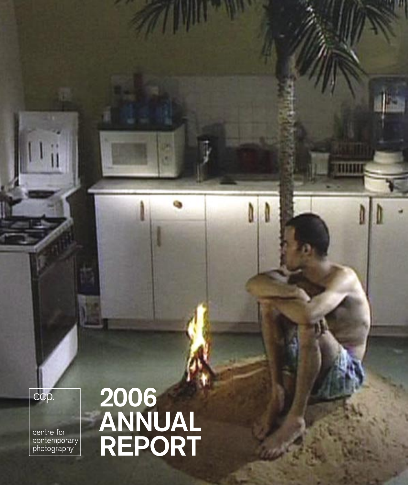centre for<br>contemporary<br>photography

ccp.

# 2006 ANNUAL REPORT

**TITTII**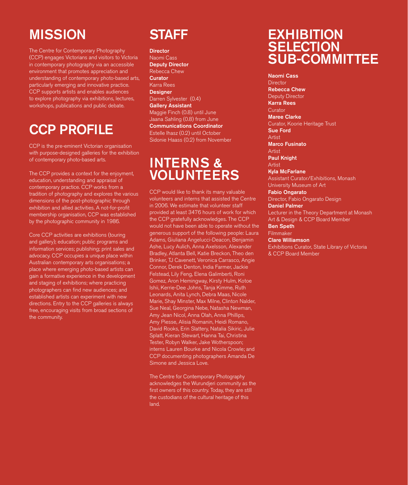# **MISSION**

The Centre for Contemporary Photography (CCP) engages Victorians and visitors to Victoria in contemporary photography via an accessible environment that promotes appreciation and understanding of contemporary photo-based arts, particularly emerging and innovative practice. CCP supports artists and enables audiences to explore photography via exhibitions, lectures, workshops, publications and public debate.

# CCP PROFILE

CCP is the pre-eminent Victorian organisation with purpose-designed galleries for the exhibition of contemporary photo-based arts.

The CCP provides a context for the enjoyment, education, understanding and appraisal of contemporary practice. CCP works from a tradition of photography and explores the various dimensions of the post-photographic through exhibition and allied activities. A not-for-profit membership organisation, CCP was established by the photographic community in 1986.

Core CCP activities are exhibitions (touring and gallery); education; public programs and information services; publishing; print sales and advocacy. CCP occupies a unique place within Australian contemporary arts organisations; a place where emerging photo-based artists can gain a formative experience in the development and staging of exhibitions; where practicing photographers can find new audiences; and established artists can experiment with new directions. Entry to the CCP galleries is always free, encouraging visits from broad sections of the community.

# STAFF

**Director** Naomi Cass Deputy Director Rebecca Chew **Curator** Karra Rees **Designer** Darren Sylvester (0.4) Gallery Assistant Maggie Finch (0.8) until June Jaana Sahling (0.8) from June Communications Coordinator Estelle Ihasz (0.2) until October Sidonie Haass (0.2) from November

# INTERNS & VOLUNTEERS

CCP would like to thank its many valuable volunteers and interns that assisted the Centre in 2006. We estimate that volunteer staff provided at least 3476 hours of work for which the CCP gratefully acknowledges. The CCP would not have been able to operate without the generous support of the following people: Laura Adams, Giuliana Angelucci-Deacon, Benjamin Ashe, Lucy Aulich, Anna Axelsson, Alexander Bradley, Atlanta Bell, Katie Breckon, Theo den Brinker, TJ Cavenett, Veronica Carrasco, Angie Connor, Derek Denton, India Farmer, Jackie Felstead, Lily Feng, Elena Galimberti, Roni Gomez, Aron Hemingway, Kirsty Hulm, Kotoe Ishii, Kerrie-Dee Johns, Tanja Kimme, Ruth Leonards, Anita Lynch, Debra Maas, Nicole Marie, Shay Minster, Max Milne, Clinton Nalder, Sue Neal, Georgina Nebe, Natasha Newman, Amy Jean Nicol, Anna Olah, Anna Phillips, Amy Piesse, Alisia Romanin, Heidi Romano, David Rooks, Erin Slattery, Natalia Sikiric, Julie Splatt, Kieran Stewart, Hanna Tai, Christina Tester, Robyn Walker, Jake Wotherspoon; interns Lauren Bourke and Nicola Crowle; and CCP documenting photographers Amanda De Simone and Jessica Love.

The Centre for Contemporary Photography acknowledges the Wurundjeri community as the first owners of this country. Today, they are still the custodians of the cultural heritage of this land.

# **EXHIBITION SELECTION** SUB-COMMITTEE

Naomi Cass **Director** Rebecca Chew Deputy Director Karra Rees **Curator** Maree Clarke Curator, Koorie Heritage Trust Sue Ford Artist Marco Fusinato Artist Paul Knight Artist Kyla McFarlane Assistant Curator/Exhibitions, Monash University Museum of Art Fabio Ongarato Director, Fabio Ongarato Design Daniel Palmer Lecturer in the Theory Department at Monash Art & Design & CCP Board Member Ben Speth Filmmaker

#### Clare Williamson

Exhibitions Curator, State Library of Victoria & CCP Board Member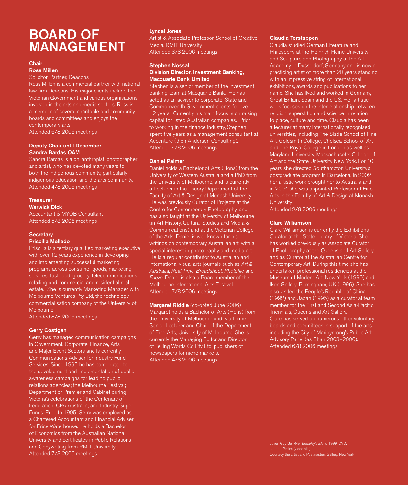# BOARD OF MANAGEMENT

#### Chair

Ross Millen

Solicitor, Partner, Deacons

Ross Millen is a commercial partner with national law firm Deacons. His major clients include the Victorian Government and various organisations involved in the arts and media sectors. Ross is a member of several charitable and community boards and committees and enjoys the contemporary arts. Attended 6/8 2006 meetings

#### Deputy Chair until December Sandra Bardas OAM

Sandra Bardas is a philanthropist, photographer and artist, who has devoted many years to both the indigenous community, particularly indigenous education and the arts community. Attended 4/8 2006 meetings

#### **Treasurer** Warwick Dick

Accountant & MYOB Consultant Attended 5/8 2006 meetings

### **Secretary**

#### Priscilla Mellado

Priscilla is a tertiary qualified marketing executive with over 12 years experience in developing and implementing successful marketing programs across consumer goods, marketing services, fast food, grocery, telecommunications, retailing and commercial and residential real estate. She is currently Marketing Manager with Melbourne Ventures Pty Ltd, the technology commercialisation company of the University of Melbourne.

Attended 8/8 2006 meetings

#### Gerry Costigan

Gerry has managed communication campaigns in Government, Corporate, Finance, Arts and Major Event Sectors and is currently Communications Adviser for Industry Fund Services. Since 1995 he has contributed to the development and implementation of public awareness campaigns for leading public relations agencies; the Melbourne Festival; Department of Premier and Cabinet during Victoria's celebrations of the Centenary of Federation; CPA Australia; and Industry Super Funds. Prior to 1995, Gerry was employed as a Chartered Accountant and Financial Adviser for Price Waterhouse. He holds a Bachelor of Economics from the Australian National University and certificates in Public Relations and Copywriting from RMIT University. Attended 7/8 2006 meetings

#### Lyndal Jones

Artist & Associate Professor, School of Creative Media, RMIT University Attended 3/8 2006 meetings

#### Stephen Nossal

#### Division Director, Investment Banking, Macquarie Bank Limited

Stephen is a senior member of the investment banking team at Macquarie Bank. He has acted as an adviser to corporate, State and Commonwealth Government clients for over 12 years. Currently his main focus is on raising capital for listed Australian companies. Prior to working in the finance industry, Stephen spent five years as a management consultant at Accenture (then Andersen Consulting). Attended 4/8 2006 meetings

#### Daniel Palmer

Daniel holds a Bachelor of Arts (Hons) from the University of Western Australia and a PhD from the University of Melbourne, and is currently a Lecturer in the Theory Department of the Faculty of Art & Design at Monash University. He was previously Curator of Projects at the Centre for Contemporary Photography, and has also taught at the University of Melbourne (in Art History, Cultural Studies and Media & Communications) and at the Victorian College of the Arts. Daniel is well known for his writings on contemporary Australian art, with a special interest in photography and media art. He is a regular contributor to Australian and international visual arts journals such as Art & Australia, Real Time, Broadsheet, Photofile and Frieze. Daniel is also a Board member of the Melbourne International Arts Festival. Attended 7/8 2006 meetings

Margaret Riddle (co-opted June 2006) Margaret holds a Bachelor of Arts (Hons) from the University of Melbourne and is a former Senior Lecturer and Chair of the Department of Fine Arts, University of Melbourne. She is currently the Managing Editor and Director of Telling Words Co Pty Ltd, publishers of newspapers for niche markets. Attended 4/8 2006 meetings

#### Claudia Terstappen

Claudia studied German Literature and Philosophy at the Heinrich Heine University and Sculpture and Photography at the Art Academy in Dusseldorf, Germany and is now a practicing artist of more than 20 years standing with an impressive string of international exhibitions, awards and publications to her name. She has lived and worked in Germany, Great Britain, Spain and the US. Her artistic work focuses on the interrelationship between religion, superstition and science in relation to place, culture and time. Claudia has been a lecturer at many internationally recognised universities, including The Slade School of Fine Art, Goldsmith College, Chelsea School of Art and The Royal College in London as well as Maryland University, Massachusetts College of Art and the State University New York. For 10 years she directed Southampton University's postgraduate program in Barcelona. In 2002 her artistic work brought her to Australia and in 2004 she was appointed Professor of Fine Arts in the Faculty of Art & Design at Monash University.

Attended 2/8 2006 meetings

#### Clare Williamson

Clare Williamson is currently the Exhibitions Curator at the State Library of Victoria. She has worked previously as Associate Curator of Photography at the Queensland Art Gallery and as Curator at the Australian Centre for Contemporary Art. During this time she has undertaken professional residencies at the Museum of Modern Art, New York (1990) and Ikon Gallery, Birmingham, UK (1996). She has also visited the People's Republic of China (1992) and Japan (1995) as a curatorial team member for the First and Second Asia-Pacific Triennials, Queensland Art Gallery. Clare has served on numerous other voluntary boards and committees in support of the arts including the City of Maribyrnong's Public Art Advisory Panel (as Chair 2003–2006). Attended 6/8 2006 meetings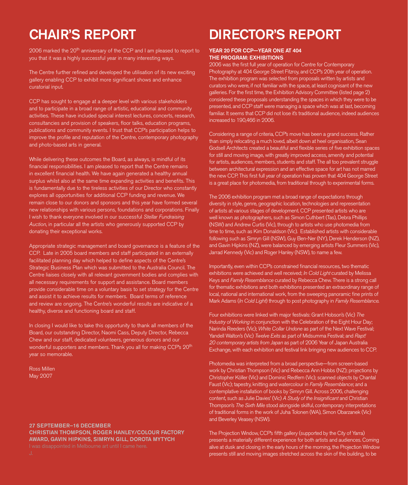# CHAIR'S REPORT

2006 marked the 20<sup>th</sup> anniversary of the CCP and I am pleased to report to you that it was a highly successful year in many interesting ways.

The Centre further refined and developed the utilisation of its new exciting gallery enabling CCP to exhibit more significant shows and enhance curatorial input.

CCP has sought to engage at a deeper level with various stakeholders and to participate in a broad range of artistic, educational and community activities. These have included special interest lectures, concerts, research, consultancies and provision of speakers, floor talks, education programs, publications and community events. I trust that CCP's participation helps to improve the profile and reputation of the Centre, contemporary photography and photo-based arts in general.

While delivering these outcomes the Board, as always, is mindful of its financial responsibilities. I am pleased to report that the Centre remains in excellent financial health. We have again generated a healthy annual surplus whilst also at the same time expanding activities and benefits. This is fundamentally due to the tireless activities of our Director who constantly explores all opportunities for additional CCP funding and revenue. We remain close to our donors and sponsors and this year have formed several new relationships with various persons, foundations and corporations. Finally I wish to thank everyone involved in our successful Stellar Fundraising Auction, in particular all the artists who generously supported CCP by donating their exceptional works.

Appropriate strategic management and board governance is a feature of the CCP. Late in 2005 board members and staff participated in an externally facilitated planning day which helped to define aspects of the Centre's Strategic Business Plan which was submitted to the Australia Council. The Centre liaises closely with all relevant government bodies and complies with all necessary requirements for support and assistance. Board members provide considerable time on a voluntary basis to set strategy for the Centre and assist it to achieve results for members. Board terms of reference and review are ongoing. The Centre's wonderful results are indicative of a healthy, diverse and functioning board and staff.

In closing I would like to take this opportunity to thank all members of the Board, our outstanding Director, Naomi Cass, Deputy Director, Rebecca Chew and our staff, dedicated volunteers, generous donors and our wonderful supporters and members. Thank you all for making CCP's 20<sup>th</sup> year so memorable.

Ross Millen May 2007

## 27 SEPTEMBER–16 DECEMBER CHRISTIAN THOMPSON, ROGER HANLEY/COLOUR FACTORY AWARD, GAVIN HIPKINS, SIMRYN GILL, DOROTA MYTYCH

# DIRECTOR'S REPORT

#### YEAR 20 FOR CCP—YEAR ONE AT 404 THE PROGRAM: EXHIBITIONS

2006 was the first full year of operation for Centre for Contemporary Photography at 404 George Street Fitzroy, and CCP's 20th year of operation. The exhibition program was selected from proposals written by artists and curators who were, if not familiar with the space, at least cognisant of the new galleries. For the first time, the Exhibition Advisory Committee (listed page 2) considered these proposals understanding the spaces in which they were to be presented, and CCP staff were managing a space which was at last, becoming familiar. It seems that CCP did not lose it's traditional audience, indeed audiences increased to 190,466 in 2006.

Considering a range of criteria, CCP's move has been a grand success. Rather than simply relocating a much loved, albeit down at heel organisation, Sean Godsell Architects created a beautiful and flexible series of five exhibition spaces for still and moving image, with greatly improved access, amenity and potential for artists, audiences, members, students and staff. The all too prevalent struggle between architectural expression and an effective space for art has not marred the new CCP. This first full year of operation has proven that 404 George Street is a great place for photomedia, from traditional through to experimental forms.

The 2006 exhibition program met a broad range of expectations through diversity in style, genre, geographic location, technologies and representation of artists at various stages of development. CCP presented artists who are well known as photographers, such as Simon Cuthbert (Tas), Debra Phillips (NSW) and Andrew Curtis (Vic), through to artists who use photomedia from time to time, such as Kim Donaldson (Vic). Established artists with considerable following such as Simryn Gill (NSW), Guy Ben-Ner (NY), Derek Henderson (NZ), and Gavin Hipkins (NZ), were balanced by emerging artists Fleur Summers (Vic), Jarrad Kennedy (Vic) and Roger Hanley (NSW), to name a few.

Importantly, even within CCP's constrained financial resources, two thematic exhibitions were achieved and well received; In Cold Light curated by Melissa Keys and Family Resemblance curated by Rebecca Chew. There is a strong call for thematic exhibitions and both exhibitions presented an extraordinary range of local, national and international work, from the sweeping panoramic fine prints of Mark Adams (In Cold Light) through to post photography in Family Resemblance.

Four exhibitions were linked with major festivals: Grant Hobson's (Vic) The Industry of Working in conjunction with the Celebration of the Eight Hour Day; Narinda Reeders (Vic); White Collar Undone as part of the Next Wave Festival; Yandell Walton's (Vic) Twelve Exits as part of Midsumma Festival; and Rapt! 20 contemporary artists from Japan as part of 2006 Year of Japan Australia Exchange, with each exhibition and festival link bringing new audiences to CCP.

Photomedia was interpreted from a broad perspective—from screen-based work by Christian Thompson (Vic) and Rebecca Ann Hobbs (NZ); projections by Christopher Köller (Vic) and Dominic Redfern (Vic); scanned objects by Chantal Faust (Vic); tapestry, knitting and watercolour in Family Resemblance; and a contemplative installation of books by Simryn Gill. Across 2006, challenging content, such as Julie Davies' (Vic) A Study of the Insignificant and Christian Thompson's The Sixth Mile stood alongside skilful, contemporary interpretations of traditional forms in the work of Juha Tolonen (WA), Simon Obarzanek (Vic) and Beverley Veasey (NSW).

The Projection Window, CCP's fifth gallery (supported by the City of Yarra) presents a materially different experience for both artists and audiences. Coming alive at dusk and closing in the early hours of the morning, the Projection Window presents still and moving images stretched across the skin of the building, to be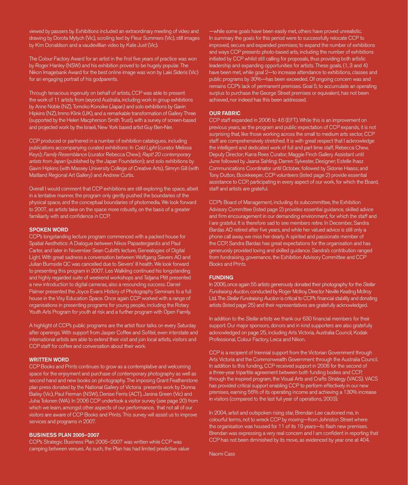viewed by passers by. Exhibitions included an extraordinary meeting of video and drawing by Dorota Mytych (Vic), scrolling text by Fleur Summers (Vic), still images by Kim Donaldson and a vaudevillian video by Kate Just (Vic).

The Colour Factory Award for an artist in the first five years of practice was won by Roger Hanley (NSW) and his exhibition proved to be hugely popular. The Nikon Imagebank Award for the best online image was won by Laki Sideris (Vic) for an engaging portrait of his godparents.

Through tenacious ingenuity on behalf of artists, CCP was able to present the work of 11 artists from beyond Australia, including work in group exhibitions by Anne Noble (NZ), Tomoko Konoike (Japan) and solo exhibitions by Gavin Hipkins (NZ), Immo Klink (UK), and a remarkable transformation of Gallery Three (supported by the Helen Macpherson Smith Trust), with a survey of screen-based and projected work by the Israeli, New York based artist Guy Ben-Ner.

CCP produced or partnered in a number of exhibition catalogues, including publications accompanying curated exhibitions: In Cold Light (curator Melissa Keys); Family Resemblance (curator Rebecca Chew); Rapt! 20 contemporary artists from Japan (published by the Japan Foundation); and solo exhibitions by Gavin Hipkins (with Massey University College of Creative Arts), Simryn Gill (with Maitland Regional Art Gallery) and Andrew Curtis.

Overall I would comment that CCP exhibitions are still exploring the space, albeit in a tentative manner, the program only gently pushed the boundaries of the physical space, and the conceptual boundaries of photomedia. We look forward to 2007, as artists take on the space more robustly, on the basis of a greater familiarity with and confidence in CCP.

#### SPOKEN WORD

CCP's longstanding lecture program commenced with a packed house for Spatial Aesthetics: A Dialogue between Nikos Papastergiardis and Paul Carter, and later in November Sean Cubitt's lecture, Genealogies of Digital Light. With great sadness a conversation between Wolfgang Sievers AO and Julian Burnside QC was cancelled due to Sievers' ill health. We look forward to presenting this program in 2007. Les Walkling continued his longstanding and highly regarded suite of weekend workshops and Tatjana Plitt presented a new introduction to digital cameras, also a resounding success. Daniel Palmer presented the Joyce Evans History of Photography Seminars to a full house in the Visy Education Space. Once again CCP worked with a range of organisations in presenting programs for young people, including the Rotary Youth Arts Program for youth at risk and a further program with Open Family.

A highlight of CCP's public programs are the artist floor talks on every Saturday after openings. With support from Jasper Coffee and Sofitel, even interstate and international artists are able to extend their visit and join local artists, visitors and CCP staff for coffee and conversation about their work.

#### WRITTEN WORD

CCP Books and Prints continues to grow as a contemplative and welcoming space for the enjoyment and purchase of contemporary photography as well as second hand and new books on photography. The imposing Grant Featherstone plan press donated by the National Gallery of Victoria presents work by Donna Bailey (Vic), Paul Ferman (NSW), Denise Ferris (ACT), Janina Green (Vic) and Juha Tolonen (WA). In 2006 CCP undertook a visitor survey (see page 20) from which we learn, amongst other aspects of our performance, that not all of our visitors are aware of CCP Books and Prints. This survey will assist us to improve services and programs in 2007.

#### BUSINESS PLAN 2005–2007

CCP's Strategic Business Plan 2005–2007 was written while CCP was camping between venues. As such, the Plan has had limited predictive value

—while some goals have been easily met, others have proved unrealistic. In summary the goals for this period were to successfully relocate CCP to improved, secure and expanded premises; to expand the number of exhibitions and ways CCP presents photo-based arts, including the number of exhibitions initiated by CCP whilst still calling for proposals, thus providing both artistic leadership and expanding opportunities for artists. These goals, (1, 3 and 4) have been met, while goal 2-to increase attendance to exhibitions, classes and public programs by 30%—has been exceeded. Of ongoing concern was and remains CCP's lack of permanent premises. Goal 5, to accumulate an operating surplus to purchase the George Street premises or equivalent, has not been achieved, nor indeed has this been addressed.

#### OUR FABRIC

CCP staff expanded in 2006 to 4.6 (EFT). While this is an improvement on previous years, as the program and public expectation of CCP expands, it is not surprising that, like those working across the small to medium arts sector, CCP staff are comprehensively stretched. It is with great respect that I acknowledge the intelligent and dedicated work of full and part time staff, Rebecca Chew, Deputy Director; Karra Rees Curator; Maggie Finch Gallery Assistant until June followed by Jaana Sahling; Darren Sylvester, Designer; Estelle Ihasz Communications Coordinator until October, followed by Sidonie Haass; and Tony Dutton, Bookkeeper. CCP volunteers (listed page 2) provide essential assistance to CCP, participating in every aspect of our work, for which the Board, staff and artists are grateful.

CCP's Board of Management, including its subcommittee, the Exhibition Advisory Committee (listed page 2) provides essential guidance, skilled advice and firm encouragement in our demanding environment, for which the staff and I are grateful. It is therefore sad to see members retire. In December, Sandra Bardas AO retired after five years, and while her valued advice is still only a phone call away, we miss her dearly. A spirited and passionate member of the CCP, Sandra Bardas has great expectations for the organisation and has generuosly provided loving and skilled guidance. Sandra's contribution ranged from fundraising, governance, the Exhibition Advisory Committee and CCP Books and Prints.

#### FUNDING

In 2006, once again 55 artists generously donated their photography for the Stellar Fundraising Auction, conducted by Roger McIlroy, Director Neville Keating McIlroy Ltd. The Stellar Fundraising Auction is critical to CCP's financial stability and donating artists (listed page 25) and their representatives are gratefully acknowledged.

In addition to the Stellar artists we thank our 630 financial members for their support. Our major sponsors, donors and in kind supporters are also gratefully acknowledged on page 25, including Arts Victoria, Australia Council, Kodak Professional, Colour Factory, Leica and Nikon.

CCP is a recipient of triennial support from the Victorian Government through Arts Victoria and the Commonwealth Government through the Australia Council. In addition to this funding, CCP received support in 2006 for the second of a three-year tripartite agreement between both funding bodies and CCP, through the inspired program, the Visual Arts and Crafts Strategy (VACS). VACS has provided critical support enabling CCP to perform effectively in our new premises, earning 56% of its operating income and achieving a 130% increase in visitors (compared to the last full year of operations, 2003).

In 2004, artist and outspoken rising star, Brendan Lee cautioned me, in colourful terms, not to wreck CCP by moving—from Johnston Street where the organisation was housed for 11 of its 19 years—to flash new premises. Brendan was expressing a very real concern and I am confident in reporting that CCP has not been diminished by its move, as evidenced by year one at 404.

Naomi Cass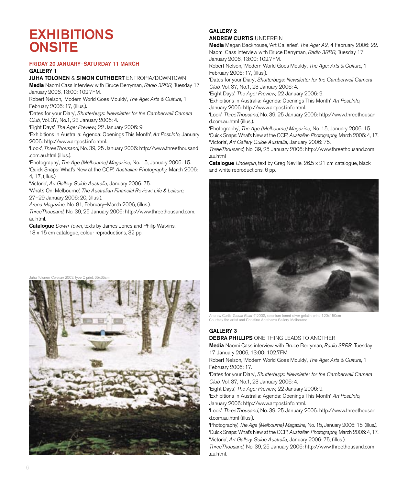# **EXHIBITIONS ONSITE**

#### FRIDAY 20 JANUARY–SATURDAY 11 MARCH

### GALLERY 1

JUHA TOLONEN & SIMON CUTHBERT ENTROPIA/DOWNTOWN

Media Naomi Cass interview with Bruce Berryman, Radio 3RRR, Tuesday 17 January 2006, 13:00: 102.7FM.

Robert Nelson, 'Modern World Goes Mouldy', The Age: Arts & Culture, 1 February 2006: 17, (illus.).

'Dates for your Diary', Shutterbugs: Newsletter for the Camberwell Camera Club, Vol. 37, No.1, 23 January 2006: 4.

'Eight Days', The Age: Preview, 22 January 2006: 9.

'Exhibitions in Australia: Agenda: Openings This Month', Art Post.Info, January 2006: http://www.artpost.info.html.

'Look', ThreeThousand, No. 39, 25 January 2006: http://www.threethousand .com.au.html (illus.).

'Photography', The Age (Melbourne) Magazine, No. 15, January 2006: 15.

'Quick Snaps: What's New at the CCP', Australian Photography, March 2006: 4, 17, (illus.).

'Victoria', Art Gallery Guide Australia, January 2006: 75.

'What's On: Melbourne', The Australian Financial Review: Life & Leisure, 27–29 January 2006: 20, (illus.).

Arena Magazine, No. 81, February–March 2006, (illus.).

ThreeThousand, No. 39, 25 January 2006: http://www.threethousand.com. au.html.

Catalogue Down Town, texts by James Jones and Philip Watkins,

18 x 15 cm catalogue, colour reproductions, 32 pp.





#### GALLERY 2 ANDREW CURTIS UNDERPIN

Media Megan Backhouse, 'Art Galleries', The Age: A2, 4 February 2006: 22. Naomi Cass interview with Bruce Berryman, Radio 3RRR, Tuesday 17 January 2006, 13:00: 102.7FM.

Robert Nelson, 'Modern World Goes Mouldy', The Age: Arts & Culture, 1 February 2006: 17, (illus.).

'Dates for your Diary', Shutterbugs: Newsletter for the Camberwell Camera Club, Vol. 37, No.1, 23 January 2006: 4.

'Eight Days', The Age: Preview, 22 January 2006: 9.

'Exhibitions in Australia: Agenda: Openings This Month', Art Post.Info, January 2006: http://www.artpost.info.html.

'Look', ThreeThousand, No. 39, 25 January 2006: http://www.threethousan d.com.au.html (illus.).

'Photography', The Age (Melbourne) Magazine, No. 15, January 2006: 15. 'Quick Snaps: What's New at the CCP', Australian Photography, March 2006: 4, 17. 'Victoria', Art Gallery Guide Australia, January 2006: 75.

ThreeThousand, No. 39, 25 January 2006: http://www.threethousand.com .au.html

Catalogue Underpin, text by Greg Neville, 26.5 x 21 cm catalogue, black and white reproductions, 6 pp.



Andrew Curtis Toorak Road 6 2002, selenium toned silver gelatin print, 120x150cm Courtesy the artist and Christine Abrahams Gallery, Melbourne

### GALLERY 3

### DEBRA PHILLIPS ONE THING LEADS TO ANOTHER

Media Naomi Cass interview with Bruce Berryman, Radio 3RRR, Tuesday 17 January 2006, 13:00: 102.7FM.

Robert Nelson, 'Modern World Goes Mouldy', The Age: Arts & Culture, 1 February 2006: 17.

'Dates for your Diary', Shutterbugs: Newsletter for the Camberwell Camera Club, Vol. 37, No.1, 23 January 2006: 4.

'Eight Days', The Age: Preview, 22 January 2006: 9.

'Exhibitions in Australia: Agenda: Openings This Month', Art Post.Info, January 2006: http://www.artpost.info.html.

'Look', ThreeThousand, No. 39, 25 January 2006: http://www.threethousan d.com.au.html (illus.).

'Photography', The Age (Melbourne) Magazine, No. 15, January 2006: 15, (illus.). 'Quick Snaps: What's New at the CCP', Australian Photography, March 2006: 4, 17. 'Victoria', Art Gallery Guide Australia, January 2006: 75, (illus.).

ThreeThousand, No. 39, 25 January 2006: http://www.threethousand.com .au.html.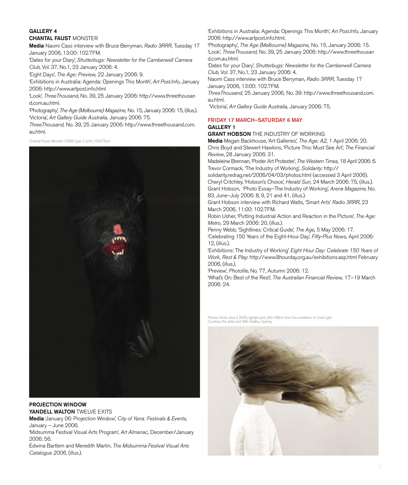# GALLERY 4

### CHANTAL FAUST MONSTER

Media Naomi Cass interview with Bruce Berryman, Radio 3RRR, Tuesday 17 January 2006, 13:00: 102.7FM.

'Dates for your Diary', Shutterbugs: Newsletter for the Camberwell Camera Club, Vol. 37, No.1, 23 January 2006: 4.

'Eight Days', The Age: Preview, 22 January 2006: 9.

'Exhibitions in Australia: Agenda: Openings This Month', Art Post.Info, January 2006: http://www.artpost.info.html

'Look', ThreeThousand, No. 39, 25 January 2006: http://www.threethousan d.com.au.html.

'Photography', The Age (Melbourne) Magazine, No. 15, January 2006: 15, (illus.). 'Victoria', Art Gallery Guide Australia, January 2006: 75.

ThreeThousand, No. 39, 25 January 2006: http://www.threethousand.com. au.html.

Chantal Faust, Monster I 2005, type C print, 100x72cm



### PROJECTION WINDOW YANDELL WALTON TWELVE EXITS

Media 'January 06: Projection Window', City of Yarra: Festivals & Events, January – June 2006.

'Midsumma Festival Visual Arts Program', Art Almanac, December/January 2006: 56.

Edwina Bartlem and Meredith Martin, The Midsumma Festival Visual Arts Catalogue 2006, (illus.).

'Exhibitions in Australia: Agenda: Openings This Month', Art Post.Info, January 2006: http://www.artpost.info.html.

'Photography', The Age (Melbourne) Magazine, No. 15, January 2006: 15. 'Look', ThreeThousand, No. 39, 25 January 2006: http://www.threethousan d.com.au.html.

'Dates for your Diary', Shutterbugs: Newsletter for the Camberwell Camera Club, Vol. 37, No.1, 23 January 2006: 4.

Naomi Cass interview with Bruce Berryman, Radio 3RRR, Tuesday 17 January 2006, 13:00: 102.7FM.

ThreeThousand, 25 January 2006, No. 39: http://www.threethousand.com. au.html.

'Victoria', Art Gallery Guide Australia, January 2006: 75.

#### FRIDAY 17 MARCH–SATURDAY 6 MAY GALLERY 1

**GRANT HOBSON** THE INDUSTRY OF WORKING

Media Megan Backhouse, 'Art Galleries', The Age: A2, 1 April 2006: 20. Chris Boyd and Stewert Hawkins, 'Picture This: Must See Art', The Financial Review, 28 January 2006: 31.

Madeleine Brennan, 'Poster Art Protester', The Western Times, 18 April 2006: 6. Trevor Cormack, 'The Industry of Working', Solidarity: http://

solidarity.redrag.net/2006/04/03/photos.html (accessed 3 April 2006). Cheryl Critchley, 'Hobson's Choice', Herald Sun, 24 March 2006: 75, (illus.). Grant Hobson, 'Photo Essay–The Industry of Working', Arena Magazine, No. 83, June–July 2006: 8, 9, 21 and 41, (illus.).

Grant Hobson interview with Richard Watts, 'Smart Arts' Radio 3RRR, 23 March 2006, 11:00: 102.7FM.

Robin Usher, 'Putting Industrial Action and Reaction in the Picture', The Age: Metro, 29 March 2006: 20, (illus.).

Penny Webb, 'Sightlines: Critical Guide', The Age, 5 May 2006: 17.

'Celebrating 150 Years of the Eight-Hour Day', Fifty-Plus News, April 2006: 12, (illus.).

'Exhibitions: The Industry of Working' Eight Hour Day: Celebrate 150 Years of Work, Rest & Play: http://www.8hourday.org.au/exhibitions.asp.html February 2006, (illus.).

'Preview', Photofile, No. 77, Autumn 2006: 12.

'What's On: Best of the Rest', The Australian Financial Review, 17–19 March 2006: 24.

Petrina Hicks *Zara 2* 2005, lightjet print, 80x108cm from the exhibition *In Cold Light.*<br>Courtesy the artist and Stills Gallery, Sydney

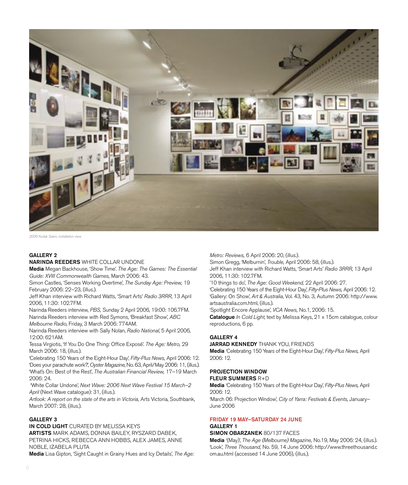

2006 Kodak Salon, installation view

#### GALLERY 2

NARINDA REEDERS WHITE COLLAR UNDONE

Media Megan Backhouse, 'Show Time'. The Age: The Games: The Essential Guide: XVIII Commonwealth Games, March 2006: 43.

Simon Castles, 'Senses Working Overtime', The Sunday Age: Preview, 19 February 2006: 22–23, (illus.).

Jeff Khan interview with Richard Watts, 'Smart Arts' Radio 3RRR, 13 April 2006, 11:30: 102.7FM.

Narinda Reeders interview, PBS, Sunday 2 April 2006, 19:00: 106.7FM. Narinda Reeders interview with Red Symons, 'Breakfast Show', ABC Melbourne Radio, Friday, 3 March 2006: 774AM.

Narinda Reeders interview with Sally Nolan, Radio National, 5 April 2006, 12:00: 621AM.

Tessa Virgiotis, 'If You Do One Thing: Office Exposé'. The Age: Metro, 29 March 2006: 18, (illus.).

'Celebrating 150 Years of the Eight-Hour Day', Fifty-Plus News, April 2006: 12. 'Does your parachute work?', Oyster Magazine, No. 63, April/May 2006: 11, (illus.). 'What's On: Best of the Rest', The Australian Financial Review, 17–19 March 2006: 24.

 'White Collar Undone', Next Wave: 2006 Next Wave Festival 15 March–2 April (Next Wave catalogue): 31, (illus.).

Artlook: A report on the state of the arts in Victoria, Arts Victoria, Southbank, March 2007: 28, (illus.).

#### GALLERY 3

IN COLD LIGHT CURATED BY MELISSA KEYS ARTISTS MARK ADAMS, DONNA BAILEY, RYSZARD DABEK, PETRINA HICKS, REBECCA ANN HOBBS, ALEX JAMES, ANNE NOBLE, IZABELA PLUTA

**Media** Lisa Gipton, 'Sight Caught in Grainy Hues and Icy Details', The Age:

Metro: Reviews, 6 April 2006: 20, (illus.).

Simon Gregg, 'Melburnin', Trouble, April 2006: 58, (illus.).

Jeff Khan interview with Richard Watts, 'Smart Arts' Radio 3RRR, 13 April 2006, 11:30: 102.7FM.

'10 things to do', The Age: Good Weekend, 22 April 2006: 27.

'Celebrating 150 Years of the Eight-Hour Day', Fifty-Plus News, April 2006: 12. 'Gallery: On Show', Art & Australia, Vol. 43, No. 3, Autumn 2006: http://www. artsaustralia.com.html, (illus.).

'Spotlight Encore Applause', VCA News, No.1, 2006: 15.

Catalogue In Cold Light, text by Melissa Keys, 21 x 15cm catalogue, colour reproductions, 6 pp.

#### GALLERY 4

JARRAD KENNEDY THANK YOU, FRIENDS

Media 'Celebrating 150 Years of the Eight-Hour Day', Fifty-Plus News, April 2006: 12.

#### PROJECTION WINDOW FLEUR SUMMERS R+D

Media 'Celebrating 150 Years of the Eight-Hour Day', Fifty-Plus News, April 2006: 12.

'March 06: Projection Window', City of Yarra: Festivals & Events, January– June 2006

### FRIDAY 19 MAY–SATURDAY 24 JUNE GALLERY 1

### SIMON OBARZANEK 80/137 FACES

Media '(May)', The Age (Melbourne) Magazine, No.19, May 2006: 24, (illus.). 'Look', Three Thousand, No. 59, 14 June 2006: http://www.threethousand.c om.au.html (accessed 14 June 2006), (illus.).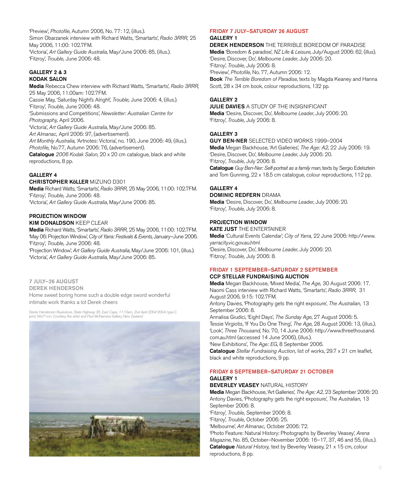'Preview', Photofile, Autumn 2006, No. 77: 12, (illus.). Simon Obarzanek interview with Richard Watts, 'Smartarts', Radio 3RRR, 25 May 2006, 11:00: 102.7FM. 'Victoria', Art Gallery Guide Australia, May/June 2006: 85, (illus.). 'Fitzroy', Trouble, June 2006: 48.

#### GALLERY 2 & 3 KODAK SALON

Media Rebecca Chew interview with Richard Watts, 'Smartarts', Radio 3RRR, 25 May 2006, 11.00am: 102.7FM. Cassie May, 'Saturday Night's Alright', Trouble, June 2006: 4, (illus.). 'Fitzroy', Trouble, June 2006: 48. 'Submissions and Competitions', Newsletter: Australian Centre for Photography, April 2006. 'Victoria', Art Gallery Guide Australia, May/June 2006: 85. Art Almanac, April 2006: 97, (advertisement). Art Monthly Australia, 'Artnotes: Victoria', no. 190, June 2006: 49, (illus.). Photofile, No.77, Autumn 2006: 76, (advertisement).

Catalogue 2006 Kodak Salon, 20 x 20 cm catalogue, black and white reproductions, 8 pp.

### GALLERY 4

CHRISTOPHER KöLLER MIZUNO D301

Media Richard Watts, 'Smartarts', Radio 3RRR, 25 May 2006, 11:00: 102.7FM. 'Fitzroy', Trouble, June 2006: 48. 'Victoria', Art Gallery Guide Australia, May/June 2006: 85.

#### PROJECTION WINDOW

#### KIM DONALDSON KEEP CLEAR

Media Richard Watts, 'Smartarts', Radio 3RRR, 25 May 2006, 11:00: 102.7FM. 'May 06: Projection Window', City of Yarra: Festivals & Events, January–June 2006. 'Fitzroy', Trouble, June 2006: 48.

'Projection Window', Art Gallery Guide Australia, May/June 2006: 101, (illus.). 'Victoria', Art Gallery Guide Australia, May/June 2006: 85.

### 7 JULY–26 AUGUST

DEREK HENDERSON Home sweet boring home such a double edge sword wonderful intimate work thanks a lot Derek cheers

Derek Henderson *Raukokore, State Highway 35, East Cape, 11.10am, 2nd April 2004* 2004, type C<br>print, 56x71cm. Courtesy the artist and Paul McNamara Gallery, New Zealand



# FRIDAY 7 JULY–SATURDAY 26 AUGUST

### GALLERY 1

DEREK HENDERSON THE TERRIBLE BOREDOM OF PARADISE Media 'Boredom & paradise', NZ Life & Leisure, July/August 2006: 62, (illus). 'Desire, Discover, Do', Melbourne Leader, July 2006: 20. 'Fitzroy', Trouble, July 2006: 8. 'Preview', Photofile, No. 77, Autumn 2006: 12. Book The Terrible Boredom of Paradise, texts by Magda Keaney and Hanna Scott, 28 x 34 cm book, colour reproductions, 132 pp.

GALLERY 2

JULIE DAVIES A STUDY OF THE INSIGNIFICANT

Media 'Desire, Discover, Do', Melbourne Leader, July 2006: 20. 'Fitzroy', Trouble, July 2006: 8.

### GALLERY 3

GUY BEN-NER SELECTED VIDEO WORKS 1999–2004

Media Megan Backhouse, 'Art Galleries', The Age: A2, 22 July 2006: 19. 'Desire, Discover, Do', Melbourne Leader, July 2006: 20. 'Fitzroy', Trouble, July 2006: 8.

Catalogue Guy Ben-Ner: Self-portrait as a family man, texts by Sergio Edelsztein and Tom Gunning, 22 x 18.5 cm catalogue, colour reproductions, 112 pp.

### GALLERY 4

#### DOMINIC REDFERN DRAMA

Media 'Desire, Discover, Do', Melbourne Leader, July 2006: 20. 'Fitzroy', Trouble, July 2006: 8.

#### PROJECTION WINDOW

KATE JUST THE ENTERTAINER Media 'Cultural Events Calendar', City of Yarra, 22 June 2006: http://www. yarracity.vic.gov.au.html 'Desire, Discover, Do', Melbourne Leader, July 2006: 20. 'Fitzroy', Trouble, July 2006: 8.

#### FRIDAY 1 SEPTEMBER–SATURDAY 2 SEPTEMBER CCP STELLAR FUNDRAISING AUCTION

Media Megan Backhouse, 'Mixed Media', The Age, 30 August 2006: 17. Naomi Cass interview with Richard Watts, 'Smartarts', Radio 3RRR, 31 August 2006, 9:15: 102.7FM. Antony Davies, 'Photography gets the right exposure', The Australian, 13 September 2006: 8. Annalisa Giudici, 'Eight Days', The Sunday Age, 27 August 2006: 5. Tessie Virgiotis, 'If You Do One Thing', The Age, 28 August 2006: 13, (illus.). 'Look', Three Thousand, No. 70, 14 June 2006: http://www.threethousand. com.au.html (accessed 14 June 2006), (illus.).

'New Exhibitions', The Age: EG, 8 September 2006. Catalogue Stellar Fundraising Auction, list of works, 29.7 x 21 cm leaflet, black and white reproductions, 9 pp.

#### FRIDAY 8 SEPTEMBER–SATURDAY 21 OCTOBER GALLERY 1

**BEVERLEY VEASEY NATURAL HISTORY** 

Media Megan Backhouse, 'Art Galleries', The Age: A2, 23 September 2006: 20. Antony Davies, 'Photography gets the right exposure', The Australian, 13 September 2006: 8. 'Fitzroy', Trouble, September 2006: 8. 'Fitzroy', Trouble, October 2006: 25.

'Melbourne', Art Almanac, October 2006: 72.

'Photo Feature: Natural History: Photographs by Beverley Veasey', Arena Magazine, No. 85, October–November 2006: 16–17, 37, 46 and 55, (illus.). Catalogue Natural History, text by Beverley Veasey, 21 x 15 cm, colour reproductions, 8 pp.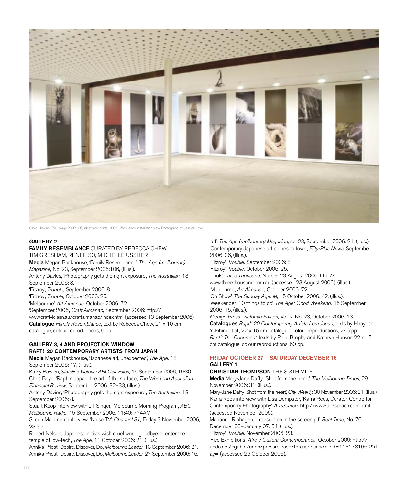

Gavin Hipkins, The Village 2002–06, inkjet vinyl prints, 300x105cm each, installation view. Photograph by Jessica Love

#### GALLERY 2

#### FAMILY RESEMBLANCE CURATED BY REBECCA CHEW TIM GRESHAM, RENEE SO, MICHELLE USSHER

Media Megan Backhouse, 'Family Resemblance', The Age (melbourne) Magazine, No. 23, September 2006:106, (illus.).

Antony Davies, 'Photography gets the right exposure', The Australian, 13 September 2006: 8.

'Fitzroy', Trouble, September 2006: 8.

'Fitzroy', Trouble, October 2006: 25.

'Melbourne', Art Almanac, October 2006: 72.

'September 2006', Craft Almanac, September 2006: http://

www.craftvic.asn.au/craftalmanac/index.html (accessed 13 September 2006). Catalogue Family Resemblance, text by Rebecca Chew, 21 x 10 cm catalogue, colour reproductions, 6 pp.

#### GALLERY 3, 4 AND PROJECTION WINDOW RAPT! 20 CONTEMPORARY ARTISTS FROM JAPAN

Media Megan Backhouse, 'Japanese art, unexpected', The Age, 18 September 2006: 17, (illus.).

Kathy Bowlen, Stateline Victoria: ABC television, 15 September 2006, 19:30. Chris Boyd, 'Rapt in Japan: the art of the surface', The Weekend Australian Financial Review, September 2006: 32–33, (illus.).

Antony Davies, 'Photography gets the right exposure', The Australian, 13 September 2006: 8.

Stuart Koop interview with Jill Singer, 'Melbourne Morning Program', ABC Melbourne Radio, 15 September 2006, 11:40: 774AM.

Simon Maidment interview, 'Noise TV', Channel 31, Friday 3 November 2006, 23:30.

Robert Nelson, 'Japanese artists wish cruel world goodbye to enter the temple of low-tech', The Age, 11 October 2006: 21, (illus.).

Annika Priest, 'Desire, Discover, Do', Melbourne Leader, 13 September 2006: 21. Annika Priest, 'Desire, Discover, Do', Melbourne Leader, 27 September 2006: 16.

'art', The Age (melbourne) Magazine, no. 23, September 2006: 21, (illus.). 'Contemporary Japanese art comes to town', Fifty-Plus News, September 2006: 36, (illus.).

'Fitzroy', Trouble, September 2006: 8.

'Fitzroy', Trouble, October 2006: 25.

'Look', Three Thousand, No. 69, 23 August 2006: http:// www.threethousand.com.au (accessed 23 August 2006), (illus.).

'Melbourne', Art Almanac, October 2006: 72.

'On Show', The Sunday Age: M, 15 October 2006: 42, (illus.). 'Weekender: 10 things to do', The Age: Good Weekend, 16 September 2006: 15, (illus.).

Nichigo Press: Victorian Edition, Vol. 2, No. 23, October 2006: 13. Catalogues Rapt!: 20 Contemporary Artists from Japan, texts by Hirayoshi Yukihiro et al., 22 x 15 cm catalogue, colour reproductions, 246 pp. Rapt!: The Document, texts by Philp Brophy and Kathryn Hunyor, 22 x 15 cm catalogue, colour reproductions, 60 pp.

#### FRIDAY OCTOBER 27 – SATURDAY DECEMBER 16 GALLERY 1

# CHRISTIAN THOMPSON THE SIXTH MILE

Media Mary-Jane Daffy, 'Shot from the heart', The Melbourne Times, 29 November 2006: 31, (illus.).

Mary-Jane Daffy, 'Shot from the heart', City Weekly, 30 November 2006: 31, (illus.). Karra Rees interview with Lisa Dempster, 'Karra Rees, Curator, Centre for Contemporary Photography', Art-Search: http://www.art-serach.com.html (accessed November 2006).

Marianne Riphagen, 'Intersection in the screen pit', Real Time, No. 76, December 06–January 07: 54, (illus.).

'Fitzroy', Trouble, November 2006: 23.

'Five Exhibitions', Atre e Cultura Contemporanea, October 2006: http:// undo.net/cgi-bin/undo/pressrelease/fpressrelease.pl?id=1161781660&d ay= (accessed 26 October 2006).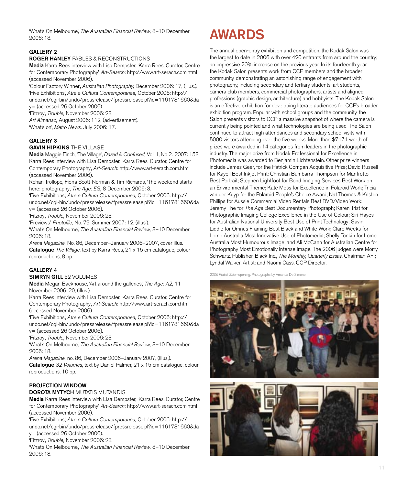What's On Melbourne', The Australian Financial Review, 8-10 December<br>0006:19 2006: 18.

### GALLERY 2

#### ROGER HANLEY FABLES & RECONSTRUCTIONS

Media Karra Rees interview with Lisa Dempster, 'Karra Rees, Curator, Centre for Contemporary Photography', Art-Search: http://www.art-serach.com.html (accessed November 2006).

'Colour Factory Winner', Australian Photography, December 2006: 17, (illus.). 'Five Exhibitions', Atre e Cultura Contemporanea, October 2006: http:// undo.net/cgi-bin/undo/pressrelease/fpressrelease.pl?id=1161781660&da

y= (accessed 26 October 2006).

'Fitzroy', Trouble, November 2006: 23.

Art Almanac, August 2006: 112, (advertisement). 'What's on', Metro News, July 2006: 17.

#### GALLERY 3

#### **GAVIN HIPKINS THE VILLAGE**

Media Maggie Finch, 'The Village', Dazed & Confused, Vol. 1, No 2., 2007: 153. Karra Rees interview with Lisa Dempster, 'Karra Rees, Curator, Centre for Contemporary Photography', Art-Search: http://www.art-serach.com.html (accessed November 2006).

Rohan Trollope, Fiona Scott-Norman & Tim Richards, 'The weekend starts here: photography', The Age: EG, 8 December 2006: 3.

'Five Exhibitions', Atre e Cultura Contemporanea, October 2006: http:// undo.net/cgi-bin/undo/pressrelease/fpressrelease.pl?id=1161781660&da y= (accessed 26 October 2006).

'Fitzroy', Trouble, November 2006: 23.

'Previews', Photofile, No. 79, Summer 2007: 12, (illus.).

'What's On Melbourne', The Australian Financial Review, 8–10 December 2006: 18.

Arena Magazine, No. 86, December–January 2006–2007, cover illus. Catalogue The Village, text by Karra Rees, 21 x 15 cm catalogue, colour reproductions, 8 pp.

#### GALLERY 4

#### SIMRYN GILL 32 VOLUMES

Media Megan Backhouse, 'Art around the galleries', The Age: A2, 11 November 2006: 20, (illus.).

Karra Rees interview with Lisa Dempster, 'Karra Rees, Curator, Centre for Contemporary Photography', Art-Search: http://www.art-serach.com.html (accessed November 2006).

'Five Exhibitions', Atre e Cultura Contemporanea, October 2006: http:// undo.net/cgi-bin/undo/pressrelease/fpressrelease.pl?id=1161781660&da y= (accessed 26 October 2006).

'Fitzroy', Trouble, November 2006: 23.

'What's On Melbourne', The Australian Financial Review, 8–10 December 2006: 18.

Arena Magazine, no. 86, December 2006–January 2007, (illus.).

Catalogue 32 Volumes, text by Daniel Palmer, 21 x 15 cm catalogue, colour reproductions, 10 pp.

### PROJECTION WINDOW

#### DOROTA MYTYCH MUTATIS MUTANDIS

Media Karra Rees interview with Lisa Dempster, 'Karra Rees, Curator, Centre for Contemporary Photography', Art-Search: http://www.art-serach.com.html (accessed November 2006).

'Five Exhibitions', Atre e Cultura Contemporanea, October 2006: http:// undo.net/cgi-bin/undo/pressrelease/fpressrelease.pl?id=1161781660&da y= (accessed 26 October 2006).

'Fitzroy', Trouble, November 2006: 23.

'What's On Melbourne', The Australian Financial Review, 8–10 December 2006: 18.

The annual open-entry exhibition and competition, the Kodak Salon was the largest to date in 2006 with over 420 entrants from around the country; an impressive 20% increase on the previous year. In its fourteenth year, the Kodak Salon presents work from CCP members and the broader community, demonstrating an astonishing range of engagement with photography, including secondary and tertiary students, art students, camera club members, commercial photographers, artists and aligned professions (graphic design, architecture) and hobbyists. The Kodak Salon is an effective exhibition for developing literate audiences for CCP's broader exhibition program. Popular with school groups and the community, the Salon presents visitors to CCP a massive snapshot of where the camera is currently being pointed and what technologies are being used. The Salon continued to attract high attendances and secondary school visits with 5000 visitors attending over the five weeks. More than \$7171 worth of prizes were awarded in 14 categories from leaders in the photographic industry. The major prize from Kodak Professional for Excellence in Photomedia was awarded to Benjamin Lichtenstein. Other prize winners include James Geer, for the Patrick Corrigan Acquisitive Prize; David Russell for Kayell Best Inkjet Print; Christian Bumbarra Thompson for Manfrotto Best Portrait; Stephen Lightfoot for Bond Imaging Services Best Work on an Environmental Theme; Kate Moss for Excellence in Polaroid Work; Tricia van der Kuyp for the Polaroid People's Choice Award; Nat Thomas & Kristen Phillips for Aussie Commercial Video Rentals Best DVD/Video Work; Jeremy The for The Age Best Documentary Photograph; Karen Trist for Photographic Imaging College Excellence in the Use of Colour; Siri Hayes for Australian National University Best Use of Print Technology; Gavin Liddle for Omnus Framing Best Black and White Work; Clare Weeks for Lomo Australia Most Innovative Use of Photomedia; Shelly Tonkin for Lomo Australia Most Humourous Image; and Ali McCann for Australian Centre for Photography Most Emotionally Intense Image. The 2006 judges were Morry Schwartz, Publisher, Black Inc., The Monthly, Quarterly Essay, Chairman AFI; Lyndal Walker, Artist; and Naomi Cass, CCP Director.

2006 Kodak Salon opening. Photographs by Amanda De Simone

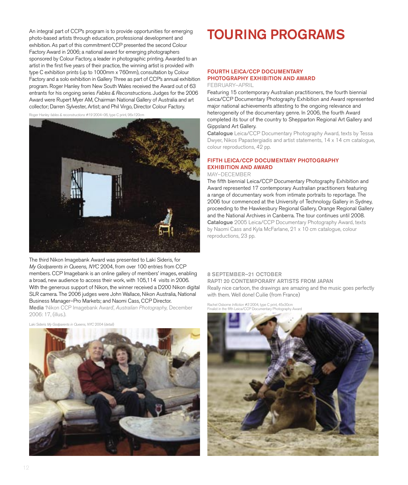An integral part of CCP's program is to provide opportunities for emerging photo-based artists through education, professional development and exhibition. As part of this commitment CCP presented the second Colour Factory Award in 2006; a national award for emerging photographers sponsored by Colour Factory, a leader in photographic printing. Awarded to an artist in the first five years of their practice, the winning artist is provided with type C exhibition prints (up to 1000mm x 760mm), consultation by Colour Factory and a solo exhibition in Gallery Three as part of CCP's annual exhibition program. Roger Hanley from New South Wales received the Award out of 63 entrants for his ongoing series Fables & Reconstructions. Judges for the 2006 Award were Rupert Myer AM, Chairman National Gallery of Australia and art collector; Darren Sylvester, Artist; and Phil Virgo, Director Colour Factory.

Roger Hanley fables & reconstructions #19 2004–06, type C print, 96x120cm



The third Nikon Imagebank Award was presented to Laki Sideris, for My Godparents in Queens, NYC 2004, from over 100 entries from CCP members. CCP Imagebank is an online gallery of members' images, enabling a broad, new audience to access their work, with 105,114 visits in 2006. With the generous support of Nikon, the winner received a D200 Nikon digital SLR camera. The 2006 judges were John Wallace, Nikon Australia, National Business Manager–Pro Markets; and Naomi Cass, CCP Director. Media 'Nikon CCP Imagebank Award', Australian Photography, December 2006: 17, (illus.).

Laki Sideris My Godparents in Queens, NYC 2004 (detail)



# TOURING PROGRAMS

### FOURTH LEICA/CCP DOCUMENTARY PHOTOGRAPHY EXHIBITION AND AWARD

FEBRUARY–APRIL

Featuring 15 contemporary Australian practitioners, the fourth biennial Leica/CCP Documentary Photography Exhibition and Award represented major national achievements attesting to the ongoing relevance and heterogeneity of the documentary genre. In 2006, the fourth Award completed its tour of the country to Shepparton Regional Art Gallery and Gippsland Art Gallery.

Catalogue Leica/CCP Documentary Photography Award, texts by Tessa Dwyer, Nikos Papastergiadis and artist statements, 14 x 14 cm catalogue, colour reproductions, 42 pp.

### FIFTH LEICA/CCP DOCUMENTARY PHOTOGRAPHY EXHIBITION AND AWARD

#### MAY–DECEMBER

The fifth biennial Leica/CCP Documentary Photography Exhibition and Award represented 17 contemporary Australian practitioners featuring a range of documentary work from intimate portraits to reportage. The 2006 tour commenced at the University of Technology Gallery in Sydney, proceeding to the Hawkesbury Regional Gallery, Orange Regional Gallery and the National Archives in Canberra. The tour continues until 2008. Catalogue 2005 Leica/CCP Documentary Photography Award, texts by Naomi Cass and Kyla McFarlane, 21 x 10 cm catalogue, colour reproductions, 23 pp.

#### 8 SEPTEMBER–21 OCTOBER RAPT! 20 CONTEMPORARY ARTISTS FROM JAPAN

Really nice cartoon, the drawings are amazing and the music goes perfectly with them. Well done! Cuilie (from France)

Rachel Osborne Infliction #3 2004, type C print, 45x30cm Finalist in the fifth Leica/CCP Documentary Photography Award

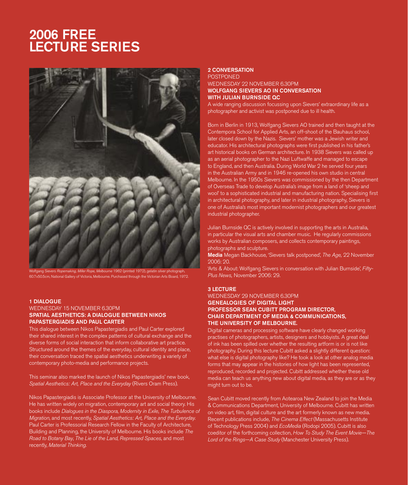# 2006 FREE LECTURE SERIES



, Miller Rope, Melbourne 1962 (printed 1972), gelatin silver pho 60.7x50.5cm, National Gallery of Victoria, Melbourne. Purchased through the Victorian Arts Board, 1972.

#### 1 DIALOGUE

#### WEDNESDAY 15 NOVEMBER 6.30PM SPATIAL AESTHETICS: A DIALOGUE BETWEEN NIKOS PAPASTERGIADIS AND PAUL CARTER

This dialogue between Nikos Papastergiadis and Paul Carter explored their shared interest in the complex patterns of cultural exchange and the diverse forms of social interaction that inform collaborative art practice. Structured around the themes of the everyday, cultural identity and place, their conversation traced the spatial aesthetics underwriting a variety of contemporary photo-media and performance projects.

This seminar also marked the launch of Nikos Papastergiadis' new book, Spatial Aesthetics: Art, Place and the Everyday (Rivers Oram Press).

Nikos Papastergiadis is Associate Professor at the University of Melbourne. He has written widely on migration, contemporary art and social theory. His books include Dialogues in the Diaspora, Modernity in Exile, The Turbulence of Migration, and most recently, Spatial Aesthetics: Art, Place and the Everyday. Paul Carter is Professorial Research Fellow in the Faculty of Architecture, Building and Planning, the University of Melbourne. His books include The Road to Botany Bay, The Lie of the Land, Repressed Spaces, and most recently, Material Thinking.

#### 2 CONVERSATION

#### POSTPONED WEDNESDAY 22 NOVEMBER 6.30PM WOLFGANG SIEVERS AO IN CONVERSATION WITH JULIAN BURNSIDE QC

A wide ranging discussion focussing upon Sievers' extraordinary life as a photographer and activist was postponed due to ill health.

Born in Berlin in 1913, Wolfgang Sievers AO trained and then taught at the Contempora School for Applied Arts, an off-shoot of the Bauhaus school, later closed down by the Nazis. Sievers' mother was a Jewish writer and educator. His architectural photographs were first published in his father's art historical books on German architecture. In 1938 Sievers was called up as an aerial photographer to the Nazi Luftwaffe and managed to escape to England, and then Australia. During World War 2 he served four years in the Australian Army and in 1946 re-opened his own studio in central Melbourne. In the 1950s Sievers was commissioned by the then Department of Overseas Trade to develop Australia's image from a land of 'sheep and wool' to a sophisticated industrial and manufacturing nation. Specialising first in architectural photography, and later in industrial photography, Sievers is one of Australia's most important modernist photographers and our greatest industrial photographer.

Julian Burnside QC is actively involved in supporting the arts in Australia, in particular the visual arts and chamber music. He regularly commissions works by Australian composers, and collects contemporary paintings, photographs and sculpture.

Media Megan Backhouse, 'Sievers talk postponed', The Age, 22 November 2006: 20.

'Arts & About: Wolfgang Sievers in conversation with Julian Burnside', Fifty-Plus News, November 2006: 29.

#### 3 LECTURE

#### WEDNESDAY 29 NOVEMBER 6.30PM GENEALOGIES OF DIGITAL LIGHT PROFESSOR SEAN CUBITT PROGRAM DIRECTOR, CHAIR DEPARTMENT OF MEDIA & COMMUNICATIONS, THE UNIVERSITY OF MELBOURNE.

Digital cameras and processing software have clearly changed working practises of photographers, artists, designers and hobbyists. A great deal of ink has been spilled over whether the resulting artform is or is not like photography. During this lecture Cubitt asked a slightly different question: what else is digital photography like? He took a look at other analog media forms that may appear in the histories of how light has been represented, reproduced, recorded and projected. Cubitt addressed whether these old media can teach us anything new about digital media, as they are or as they might turn out to be.

Sean Cubitt moved recently from Aotearoa New Zealand to join the Media & Communications Department, University of Melbourne. Cubitt has written on video art, film, digital culture and the art formerly known as new media. Recent publications include, The Cinema Effect (Massachusetts Institute of Technology Press 2004) and EcoMedia (Rodopi 2005). Cubitt is also coeditor of the forthcoming collection, How To Study The Event Movie—The Lord of the Rings—A Case Study (Manchester University Press).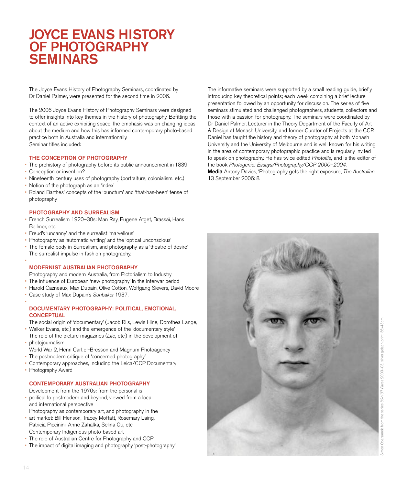# JOYCE EVANS HISTORY OF PHOTOGRAPHY SEMINARS

The Joyce Evans History of Photography Seminars, coordinated by Dr Daniel Palmer, were presented for the second time in 2006.

The 2006 Joyce Evans History of Photography Seminars were designed to offer insights into key themes in the history of photography. Befitting the context of an active exhibiting space, the emphasis was on changing ideas about the medium and how this has informed contemporary photo-based practice both in Australia and internationally. Seminar titles included:

#### THE CONCEPTION OF PHOTOGRAPHY

- The prehistory of photography before its public announcement in 1839 •
- Conception or invention? •
- Nineteenth century uses of photography (portraiture, colonialism, etc.)
- Notion of the photograph as an 'index'
- Roland Barthes' concepts of the 'punctum' and 'that-has-been' tense of photography •

#### PHOTOGRAPHY AND SURREALISM

- French Surrealism 1920–30s: Man Ray, Eugene Atget, Brassaï, Hans Bellmer, etc. •
- Freud's 'uncanny' and the surrealist 'marvellous' •
- Photography as 'automatic writing' and the 'optical unconscious' •
- The female body in Surrealism, and photography as a 'theatre of desire' The surrealist impulse in fashion photography. •

#### MODERNIST AUSTRALIAN PHOTOGRAPHY

Photography and modern Australia, from Pictorialism to Industry

- The influence of European 'new photography' in the interwar period
- Harold Cazneaux, Max Dupain, Olive Cotton, Wolfgang Sievers, David Moore •
- Case study of Max Dupain's Sunbaker 1937. •

#### DOCUMENTARY PHOTOGRAPHY: POLITICAL, EMOTIONAL, **CONCEPTUAL**

- The social origin of 'documentary' (Jacob Riis, Lewis Hine, Dorothea Lange,
- Walker Evans, etc.) and the emergence of the 'documentary style' The role of the picture magazines (Life, etc.) in the development of •
- photojournalism •
- World War 2, Henri Cartier-Bresson and Magnum Photoagency
- The postmodern critique of 'concerned photography' •
- Contemporary approaches, including the Leica/CCP Documentary •
- Photography Award

#### CONTEMPORARY AUSTRALIAN PHOTOGRAPHY

Development from the 1970s: from the personal is

- political to postmodern and beyond, viewed from a local and international perspective Photography as contemporary art, and photography in the
- art market: Bill Henson, Tracey Moffatt, Rosemary Laing, Patricia Piccinini, Anne Zahalka, Selina Ou, etc. Contemporary Indigenous photo-based art •
- The role of Australian Centre for Photography and CCP •
- The impact of digital imaging and photography 'post-photography'

The informative seminars were supported by a small reading guide, briefly introducing key theoretical points; each week combining a brief lecture presentation followed by an opportunity for discussion. The series of five seminars stimulated and challenged photographers, students, collectors and those with a passion for photography. The seminars were coordinated by Dr Daniel Palmer, Lecturer in the Theory Department of the Faculty of Art & Design at Monash University, and former Curator of Projects at the CCP. Daniel has taught the history and theory of photography at both Monash University and the University of Melbourne and is well known for his writing in the area of contemporary photographic practice and is regularly invited to speak on photography. He has twice edited Photofile, and is the editor of the book Photogenic: Essays/Photography/CCP 2000–2004. Media Antony Davies, 'Photography gets the right exposure', The Australian, 13 September 2006: 8.



•

•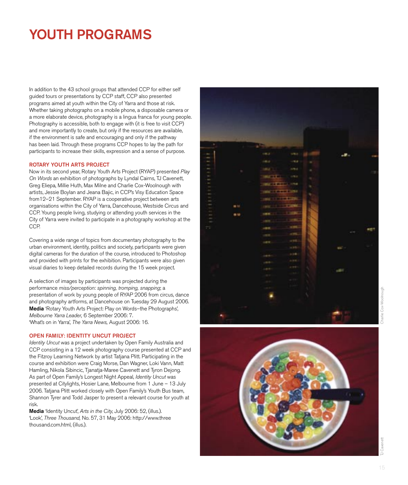# YOUTH PROGRAMS

In addition to the 43 school groups that attended CCP for either self guided tours or presentations by CCP staff, CCP also presented programs aimed at youth within the City of Yarra and those at risk. Whether taking photographs on a mobile phone, a disposable camera or a more elaborate device, photography is a lingua franca for young people. Photography is accessible, both to engage with (it is free to visit CCP) and more importantly to create, but only if the resources are available, if the environment is safe and encouraging and only if the pathway has been laid. Through these programs CCP hopes to lay the path for participants to increase their skills, expression and a sense of purpose.

#### ROTARY YOUTH ARTS PROJECT

Now in its second year, Rotary Youth Arts Project (RYAP) presented Play On Words an exhibition of photographs by Lyndal Cairns, TJ Cavenett, Greg Eliepa, Millie Huth, Max Milne and Charlie Cox-Woolnough with artists, Jessie Boylan and Jeana Bajic, in CCP's Visy Education Space from12–21 September. RYAP is a cooperative project between arts organisations within the City of Yarra, Dancehouse, Westside Circus and CCP. Young people living, studying or attending youth services in the City of Yarra were invited to participate in a photography workshop at the CCP.

Covering a wide range of topics from documentary photography to the urban environment, identity, politics and society, participants were given digital cameras for the duration of the course, introduced to Photoshop and provided with prints for the exhibition. Participants were also given visual diaries to keep detailed records during the 15 week project.

A selection of images by participants was projected during the performance miss/perception: spinning, tromping, snapping; a presentation of work by young people of RYAP 2006 from circus, dance and photography artforms, at Dancehouse on Tuesday 29 August 2006. Media 'Rotary Youth Arts Project: Play on Words–the Photographs', Melbourne Yarra Leader, 6 September 2006: 7. 'What's on in Yarra', The Yarra News, August 2006: 16.

#### OPEN FAMILY: IDENTITY UNCUT PROJECT

Identity Uncut was a project undertaken by Open Family Australia and CCP consisting in a 12 week photography course presented at CCP and the Fitzroy Learning Network by artist Tatjana Plitt. Participating in the course and exhibition were Craig Morse, Dan Wagner, Loki Vann, Matt Hamling, Nikola Sibincic, Tjanatja-Maree Cavenett and Tyron Dejong. As part of Open Family's Longest Night Appeal, Identity Uncut was presented at Citylights, Hosier Lane, Melbourne from 1 June – 13 July 2006. Tatjana Plitt worked closely with Open Family's Youth Bus team, Shannon Tyrer and Todd Jasper to present a relevant course for youth at risk.

Media 'Identity Uncut', Arts in the City, July 2006: 52, (illus.). 'Look', Three Thousand, No. 57, 31 May 2006: http://www.three thousand.com.html, (illus.).





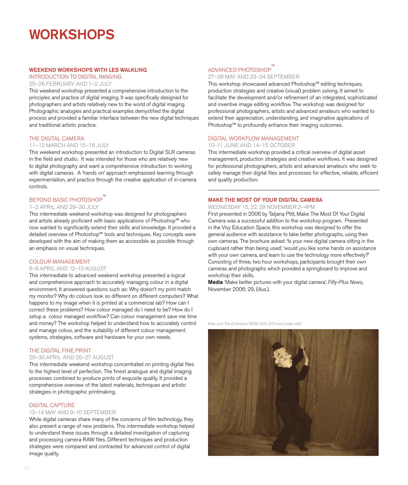# **WORKSHOPS**

#### WEEKEND WORKSHOPS WITH LES WALKLING

### INTRODUCTION TO DIGITAL IMAGING

25–26 FEBRUARY AND 1–2 JULY

This weekend workshop presented a comprehensive introduction to the principles and practice of digital imaging. It was specifically designed for photographers and artists relatively new to the world of digital imaging. Photographic analogies and practical examples demystified the digital process and provided a familiar interface between the new digital techniques and traditional artistic practice.

#### THE DIGITAL CAMERA

#### 11–12 MARCH AND 15–16 JULY

This weekend workshop presented an introduction to Digital SLR cameras in the field and studio. It was intended for those who are relatively new to digital photography and want a comprehensive introduction to working with digital cameras. A 'hands on' approach emphasised learning through experimentation, and practice through the creative application of in-camera controls.

### BEYOND BASIC PHOTOSHOP

#### 1–2 APRIL AND 29–30 JULY

This intermediate weekend workshop was designed for photographers and artists already proficient with basic applications of Photoshop™ who now wanted to significantly extend their skills and knowledge. It provided a detailed overview of Photoshop™ tools and techniques. Key concepts were developed with the aim of making them as accessible as possible through an emphasis on visual techniques.

#### COLOUR MANAGEMENT

#### 8–9 APRIL AND 12–13 AUGUST

This intermediate to advanced weekend workshop presented a logical and comprehensive approach to accurately managing colour in a digital environment. It answered questions such as: Why doesn't my print match my monitor? Why do colours look so different on different computers? What happens to my image when it is printed at a commercial lab? How can I correct these problems? How colour managed do I need to be? How do I setup a colour managed workflow? Can colour management save me time and money? The workshop helped to understand how to accurately control and manage colour, and the suitability of different colour management systems, strategies, software and hardware for your own needs.

#### THE DIGITAL FINE PRINT

#### 29–30 APRIL AND 26–27 AUGUST

This intermediate weekend workshop concentrated on printing digital files to the highest level of perfection. The finest analogue and digital imaging processes combined to produce prints of exquisite quality. It provided a comprehensive overview of the latest materials, techniques and artistic strategies in photographic printmaking.

#### DIGITAL CAPTURE

#### 13–14 MAY AND 9–10 SEPTEMBER

While digital cameras share many of the concerns of film technology, they also present a range of new problems. This intermediate workshop helped to understand these issues through a detailed investigation of capturing and processing camera RAW files. Different techniques and production strategies were compared and contrasted for advanced control of digital image quality.

### ADVANCED PHOTOSHOP™

#### 27–28 MAY AND 23–24 SEPTEMBER

This workshop showcased advanced Photoshop™ editing techniques, production strategies and creative (visual) problem solving. It aimed to facilitate the development and/or refinement of an integrated, sophisticated and inventive image editing workflow. The workshop was designed for professional photographers, artists and advanced amateurs who wanted to extend their appreciation, understanding, and imaginative applications of Photoshop™ to profoundly enhance their imaging outcomes.

#### DIGITAL WORKFLOW MANAGEMENT

#### 10–11 JUNE AND 14–15 OCTOBER

This intermediate workshop provided a critical overview of digital asset management, production strategies and creative workflows. It was designed for professional photographers, artists and advanced amateurs who seek to safely manage their digital files and processes for effective, reliable, efficient and quality production.

#### MAKE THE MOST OF YOUR DIGITAL CAMERA

#### WEDNESDAY 15, 22, 29 NOVEMBER 2–4PM

First presented in 2006 by Tatjana Plitt, Make The Most Of Your Digital Camera was a successful addition to the workshop program. Presented in the Visy Education Space, this workshop was designed to offer the general audience with assistance to take better photographs, using their own cameras. The brochure asked: 'Is your new digital camera sitting in the cupboard rather than being used', 'would you like some hands on assistance with your own camera, and learn to use the technology more effectively?' Consisting of three, two hour workshops, participants brought their own cameras and photographs which provided a springboard to improve and workshop their skills.

Media 'Make better pictures with your digital camera', Fifty-Plus News, November 2006: 29, (illus.).

Kate Just The Entertainer 2006, DVD, 2:01mins (video still)

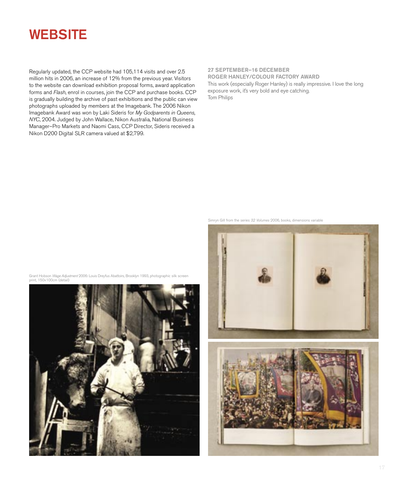# **WEBSITE**

Regularly updated, the CCP website had 105,114 visits and over 2.5 million hits in 2006, an increase of 12% from the previous year. Visitors to the website can download exhibition proposal forms, award application forms and Flash, enrol in courses, join the CCP and purchase books. CCP is gradually building the archive of past exhibitions and the public can view photographs uploaded by members at the Imagebank. The 2006 Nikon Imagebank Award was won by Laki Sideris for My Godparents in Queens, NYC, 2004. Judged by John Wallace, Nikon Australia, National Business Manager–Pro Markets and Naomi Cass, CCP Director, Sideris received a Nikon D200 Digital SLR camera valued at \$2,799.

27 SEPTEMBER–16 DECEMBER ROGER HANLEY/COLOUR FACTORY AWARD This work (especially Roger Hanley) is really impressive. I love the long exposure work, it's very bold and eye catching. Tom Philips

Simryn Gill from the series 32 Volumes 2006, books, dimensions variable



Grant Hobson Wage Adjustment 2006: Louis Dreyfus Abattoirs, Brooklyn 1993, photographic silk screen print, 150x100cm (detail)

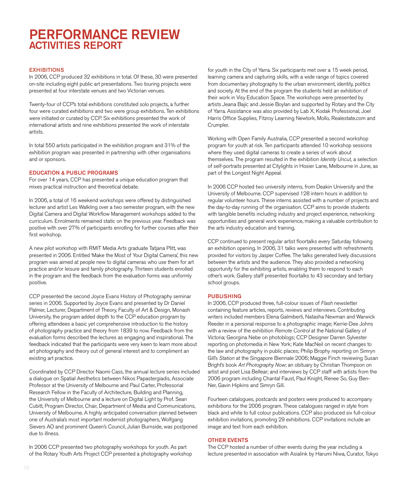# PERFORMANCE REVIEW ACTIVITIES REPORT

#### **EXHIBITIONS**

In 2006, CCP produced 32 exhibitions in total. Of these, 30 were presented on-site including eight public art presentations. Two touring projects were presented at four interstate venues and two Victorian venues.

Twenty-four of CCP's total exhibitions constituted solo projects, a further four were curated exhibitions and two were group exhibitions. Ten exhibitions were initiated or curated by CCP. Six exhibitions presented the work of international artists and nine exhibitions presented the work of interstate artists.

In total 550 artists participated in the exhibition program and 31% of the exhibition program was presented in partnership with other organisations and or sponsors.

#### EDUCATION & PUBLIC PROGRAMS

For over 14 years, CCP has presented a unique education program that mixes practical instruction and theoretical debate.

In 2006, a total of 16 weekend workshops were offered by distinguished lecturer and artist Les Walkling over a two semester program, with the new Digital Camera and Digital Workflow Management workshops added to the curriculum. Enrolments remained static on the previous year. Feedback was positive with over 27% of participants enrolling for further courses after their first workshop.

A new pilot workshop with RMIT Media Arts graduate Tatjana Plitt, was presented in 2006. Entitled 'Make the Most of Your Digital Camera', this new program was aimed at people new to digital cameras who use them for art practice and/or leisure and family photography. Thirteen students enrolled in the program and the feedback from the evaluation forms was uniformly positive.

CCP presented the second Joyce Evans History of Photography seminar series in 2006. Supported by Joyce Evans and presented by Dr Daniel Palmer, Lecturer, Department of Theory, Faculty of Art & Design, Monash University, the program added depth to the CCP education program by offering attendees a basic yet comprehensive introduction to the history of photography practice and theory from 1839 to now. Feedback from the evaluation forms described the lectures as engaging and inspirational. The feedback indicated that the participants were very keen to learn more about art photography and theory out of general interest and to compliment an existing art practice.

Coordinated by CCP Director Naomi Cass, the annual lecture series included a dialogue on Spatial Aesthetics between Nikos Papastergiadis, Associate Professor at the University of Melbourne and Paul Carter, Professorial Research Fellow in the Faculty of Architecture, Building and Planning, the University of Melbourne and a lecture on Digital Light by Prof. Sean Cubitt, Program Director, Chair, Department of Media and Communications, University of Melbourne. A highly anticipated conversation planned between one of Australia's most important modernist photographers, Wolfgang Sievers AO and prominent Queen's Council, Julian Burnside, was postponed due to illness.

In 2006 CCP presented two photography workshops for youth. As part of the Rotary Youth Arts Project CCP presented a photography workshop

for youth in the City of Yarra. Six participants met over a 15 week period, learning camera and capturing skills, with a wide range of topics covered from documentary photography to the urban environment, identity, politics and society. At the end of the program the students held an exhibition of their work in Visy Education Space. The workshops were presented by artists Jeana Bajic and Jessie Boylan and supported by Rotary and the City of Yarra. Assistance was also provided by Lab X, Kodak Professional, Joel Harris Office Supplies, Fitzroy Learning Newtork, Mollo, Realestate.com and Crumpler.

Working with Open Family Australia, CCP presented a second workshop program for youth at risk. Ten participants attended 10 workshop sessions where they used digital cameras to create a series of work about themselves. The program resulted in the exhibition Identity Uncut, a selection of self-portraits presented at Citylights in Hosier Lane, Melbourne in June, as part of the Longest Night Appeal.

In 2006 CCP hosted two university interns, from Deakin University and the University of Melbourne. CCP supervised 128 intern hours in addition to regular volunteer hours. These interns assisted with a number of projects and the day-to-day running of the organisation. CCP aims to provide students with tangible benefits including industry and project experience, networking opportunities and general work experience, making a valuable contribution to the arts industry education and training.

CCP continued to present regular artist floortalks every Saturday following an exhibition opening. In 2006, 31 talks were presented with refreshments provided for visitors by Jasper Coffee. The talks generated lively discussions between the artists and the audience. They also provided a networking opportunity for the exhibiting artists, enabling them to respond to each other's work. Gallery staff presented floortalks to 43 secondary and tertiary school groups.

#### **PUBLISHING**

In 2006, CCP produced three, full-colour issues of Flash newsletter containing feature articles, reports, reviews and interviews. Contributing writers included members Elena Galmiberti, Natasha Newman and Warwick Reeder in a personal response to a photographic image; Kerrie-Dee Johns with a review of the exhibition Remote Control at the National Gallery of Victoria; Georgina Nebe on photoblogs; CCP Designer Darren Sylvester reporting on photomedia in New York; Kate MacNeil on recent changes to the law and photography in public places; Philip Brophy reporting on Simryn Gill's Station at the Singapore Biennale 2006; Maggie Finch reviewing Susan Bright's book Art Photography Now; an obituary by Christian Thompson on artist and poet Lisa Bellear; and interviews by CCP staff with artists from the 2006 program including Chantal Faust, Paul Knight, Renee So, Guy Ben-Ner, Gavin Hipkins and Simryn Gill.

Fourteen catalogues, postcards and posters were produced to accompany exhibitions for the 2006 program. These catalogues ranged in style from black and white to full colour publications. CCP also produced six full-colour exhibition invitations, promoting 29 exhibitions. CCP invitations include an image and text from each exhibition.

#### OTHER EVENTS

The CCP hosted a number of other events during the year including a lecture presented in association with Asialink by Harumi Niwa, Curator, Tokyo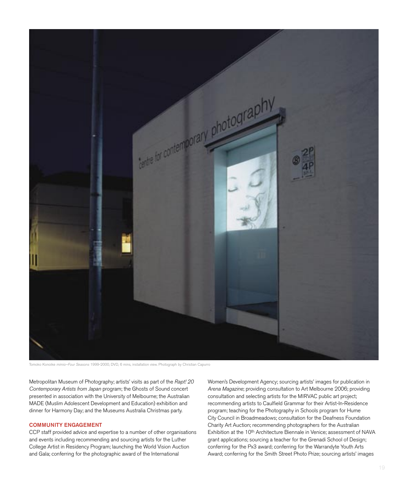

Tomoko Konoike mimio–Four Seasons 1999-2000, DVD, 6 mins, installation view. Photograph by Christian Capurro

Metropolitan Museum of Photography; artists' visits as part of the Rapt! 20 Contemporary Artists from Japan program; the Ghosts of Sound concert presented in association with the University of Melbourne; the Australian MADE (Muslim Adolescent Development and Education) exhibition and dinner for Harmony Day; and the Museums Australia Christmas party.

#### COMMUNITY ENGAGEMENT

CCP staff provided advice and expertise to a number of other organisations and events including recommending and sourcing artists for the Luther College Artist in Residency Program; launching the World Vision Auction and Gala; conferring for the photographic award of the International

Women's Development Agency; sourcing artists' images for publication in Arena Magazine; providing consultation to Art Melbourne 2006; providing consultation and selecting artists for the MIRVAC public art project; recommending artists to Caulfield Grammar for their Artist-In-Residence program; teaching for the Photography in Schools program for Hume City Council in Broadmeadows; consultation for the Deafness Foundation Charity Art Auction; recommending photographers for the Australian Exhibition at the 10<sup>th</sup> Architecture Biennale in Venice; assessment of NAVA grant applications; sourcing a teacher for the Grenadi School of Design; conferring for the Px3 award; conferring for the Warrandyte Youth Arts Award; conferring for the Smith Street Photo Prize; sourcing artists' images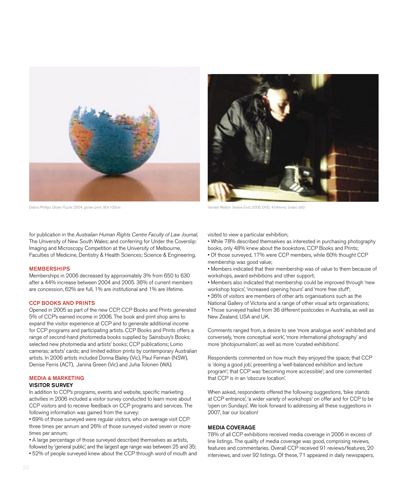

Debra Phillips Globe Puzzle 2004, giclee print, 80x100cm Yandell Valton Twelve Exits 2006, DVD, 4:04mins, (video still)

for publication in the Australian Human Rights Centre Faculty of Law Journal, The University of New South Wales; and conferring for Under the Coverslip: Imaging and Microscopy Competition at the University of Melbourne, Faculties of Medicine, Dentistry & Health Sciences; Science & Engineering.

#### MEMBERSHIPS

Memberships in 2006 decreased by approximately 3% from 650 to 630 after a 44% increase between 2004 and 2005. 36% of current members are concession, 62% are full, 1% are institutional and 1% are lifetime.

#### CCP BOOKS AND PRINTS

Opened in 2005 as part of the new CCP, CCP Books and Prints generated 5% of CCP's earned income in 2006. The book and print shop aims to expand the visitor experience at CCP and to generate additional income for CCP programs and participating artists. CCP Books and Prints offers a range of second-hand photomedia books supplied by Sainsbury's Books; selected new photomedia and artists' books; CCP publications; Lomo cameras; artists' cards; and limited edition prints by contemporary Australian artists. In 2006 artists included Donna Bailey (Vic), Paul Ferman (NSW), Denise Ferris (ACT), Janina Green (Vic) and Juha Tolonen (WA).

#### MEDIA & MARKETING

#### VISITOR SURVEY

In addition to CCP's programs, events and website, specific marketing activities in 2006 included a visitor survey conducted to learn more about CCP visitors and to receive feedback on CCP programs and services. The following information was gained from the survey:

• 69% of those surveyed were regular visitors, who on average visit CCP three times per annum and 26% of those surveyed visited seven or more times per annum;

• A large percentage of those surveyed described themselves as artists,

followed by 'general public', and the largest age range was between 25 and 35; • 52% of people surveyed knew about the CCP through word of mouth and visited to view a particular exhibition;

• While 78% described themselves as interested in purchasing photography books, only 48% knew about the bookstore, CCP Books and Prints;

- Of those surveyed, 17% were CCP members, while 60% thought CCP membership was good value;
- Members indicated that their membership was of value to them because of workshops, award exhibitions and other support;
- Members also indicated that membership could be improved through 'new workshop topics', 'increased opening hours' and 'more free stuff';
- 36% of visitors are members of other arts organisations such as the
- National Gallery of Victoria and a range of other visual arts organisations;
- Those surveyed hailed from 36 different postcodes in Australia, as well as New Zealand, USA and UK.

Comments ranged from, a desire to see 'more analogue work' exhibited and conversely, 'more conceptual work', 'more international photography' and more 'photojournalism', as well as more 'curated exhibitions'.

Respondents commented on how much they enjoyed the space; that CCP is 'doing a good job', presenting a 'well-balanced exhibition and lecture program'; that CCP was 'becoming more accessible'; and one commented that CCP is in an 'obscure location'.

When asked, respondents offered the following suggestions, 'bike stands at CCP entrance', 'a wider variety of workshops' on offer and for CCP to be 'open on Sundays'. We look forward to addressing all these suggestions in 2007, bar our location!

#### MEDIA COVERAGE

78% of all CCP exhibitions received media coverage in 2006 in excess of line listings. The quality of media coverage was good, comprising reviews, features and commentaries. Overall CCP received 91 reviews/features, 20 interviews, and over 92 listings. Of these, 71 appeared in daily newspapers,

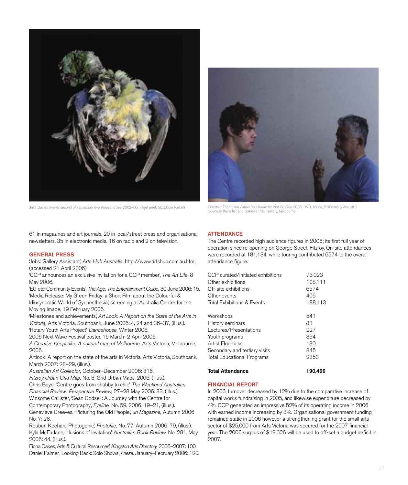

61 in magazines and art journals, 20 in local/street press and organisational newsletters, 35 in electronic media, 16 on radio and 2 on television.

#### GENERAL PRESS

'Jobs: Gallery Assistant', Arts Hub Australia: http://www.artshub.com.au.html, (accessed 21 April 2006).

'CCP announces an exclusive invitation for a CCP member', The Art Life, 8 May 2006.

'EG etc: Community Events', The Age: The Entertainment Guide, 30 June 2006: 15. 'Media Release: My Green Friday: a Short Film about the Colourful & Idiosyncratic World of Synaesthesia', screening at Australia Centre for the Moving Image, 19 February 2006.

'Milestones and achievements', Art Look: A Report on the State of the Arts in Victoria, Arts Victoria, Southbank, June 2006: 4, 24 and 36–37, (illus.).

'Rotary Youth Arts Project', Dancehouse, Winter 2006.

2006 Next Wave Festival poster, 15 March–2 April 2006.

A Creative Keepsake: A cultural map of Melbourne, Arts Victoria, Melbourne, 2006.

Artlook: A report on the state of the arts in Victoria, Arts Victoria, Southbank, March 2007: 28–29, (illus.).

Australian Art Collector, October–December 2006: 316.

Fitzroy Urban Grid Map, No. 3, Grid Urban Maps, 2006, (illus.).

Chris Boyd, 'Centre goes from shabby to chic', The Weekend Australian Financial Review: Perspective Review, 27–28 May 2006: 33, (illus.). Winsome Callister, 'Sean Godsell: A Journey with the Centre for

Contemporary Photography', Eyeline, No. 59, 2006: 19–21, (illus.).

Genevieve Greeves, 'Picturing the Old People', un Magazine, Autumn 2006 No. 7: 28.

Reuben Keehan, 'Photogenic', Photofile, No. 77, Autumn 2006: 79, (illus.). Kyla McFarlane, 'Illusions of levitation', Australian Book Review, No. 281, May 2006: 44, (illus.).

Fiona Oakes, 'Arts & Cultural Resources', Kingston Arts Directory, 2006–2007: 100. Daniel Palmer, 'Looking Back: Solo Shows', Frieze, January–February 2006: 120.



Julie Davies twenty second of september two thousand five 2002–05, inkiet print, 50x60cm (detail) Christian Thompson Father You Know I'm Not So Free 2006, DVD, sound, 2:30mins (video still) Courtesy the artist and Gabielle Pizzi Gallery, Melbourne

#### **ATTENDANCE**

The Centre recorded high audience figures in 2006; its first full year of operation since re-opening on George Street, Fitzroy. On-site attendances were recorded at 181,134, while touring contributed 6574 to the overall attendance figure.

| CCP curated/initiated exhibitions | 73,023  |
|-----------------------------------|---------|
| Other exhibitions                 | 108,111 |
| Off-site exhibitions              | 6574    |
| Other events                      | 405     |
| Total Exhibitions & Events        | 188,113 |
| Workshops                         | 541     |
| History seminars                  | 83      |
| Lectures/Presentations            | 227     |
| Youth programs                    | 364     |
| Artist Floortalks                 | 180     |
| Secondary and tertiary visits     | 845     |
| <b>Total Educational Programs</b> | 2353    |
| <b>Total Attendance</b>           | 190.466 |

# FINANCIAL REPORT

In 2006, turnover decreased by 12% due to the comparative increase of capital works fundraising in 2005, and likewise expenditure decreased by 4%. CCP generated an impressive 52% of its operating income in 2006 with earned income increasing by 3%. Organisational government funding remained static in 2006 however a strengthening grant for the small arts sector of \$25,000 from Arts Victoria was secured for the 2007 financial year. The 2006 surplus of \$19,626 will be used to off-set a budget deficit in 2007.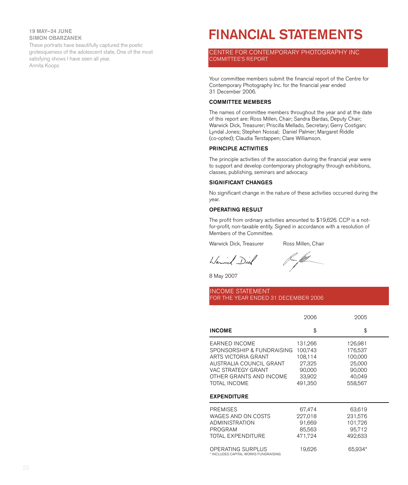19 MAY–24 JUNE SIMON OBARZANEK

These portraits have beautifully captured the poetic grotesqueness of the adolescent state. One of the most satisfying shows I have seen all year. Annita Koops

# FINANCIAL STATEMENTS

CENTRE FOR CONTEMPORARY PHOTOGRAPHY INC COMMITTEE'S REPORT

Your committee members submit the financial report of the Centre for Contemporary Photography Inc. for the financial year ended 31 December 2006.

#### COMMITTEE MEMBERS

The names of committee members throughout the year and at the date of this report are: Ross Millen, Chair; Sandra Bardas, Deputy Chair; Warwick Dick, Treasurer; Priscilla Mellado, Secretary; Gerry Costigan; Lyndal Jones; Stephen Nossal; Daniel Palmer; Margaret Riddle (co-opted); Claudia Terstappen; Clare Williamson.

#### PRINCIPLE ACTIVITIES

The principle activities of the association during the financial year were to support and develop contemporary photography through exhibitions, classes, publishing, seminars and advocacy.

#### SIGNIFICANT CHANGES

No significant change in the nature of these activities occurred during the year.

#### OPERATING RESULT

The profit from ordinary activities amounted to \$19,626. CCP is a notfor-profit, non-taxable entity. Signed in accordance with a resolution of Members of the Committee.

Warwick Dick, Treasurer Ross Millen, Chair

Warwich Diel

frum flitt\_

8 May 2007

#### INCOME STATEMENT FOR THE YEAR ENDED 31 DECEMBER 2006

|                                                                                                                                                                                            | 2006                                                                   | 2005                                                                   |  |
|--------------------------------------------------------------------------------------------------------------------------------------------------------------------------------------------|------------------------------------------------------------------------|------------------------------------------------------------------------|--|
| <b>INCOME</b>                                                                                                                                                                              | \$                                                                     | \$                                                                     |  |
| <b>EARNED INCOME</b><br>SPONSORSHIP & FUNDRAISING<br>ARTS VICTORIA GRANT<br>AUSTRALIA COUNCIL GRANT<br>VAC STRATEGY GRANT<br>OTHER GRANTS AND INCOME<br>TOTAL INCOME<br><b>EXPENDITURE</b> | 131,266<br>100,743<br>108,114<br>27,325<br>90,000<br>33,902<br>491,350 | 126,981<br>176,537<br>100,000<br>25,000<br>90,000<br>40,049<br>558,567 |  |
| <b>PREMISES</b><br>WAGES AND ON COSTS<br><b>ADMINISTRATION</b><br>PROGRAM<br>TOTAL EXPENDITURE<br>OPERATING SURPLUS<br>* INCLUDES CAPITAL WORKS FUNDRAISING                                | 67,474<br>227,018<br>91,669<br>85,563<br>471,724<br>19,626             | 63,619<br>231,576<br>101,726<br>95,712<br>492,633<br>65,934*           |  |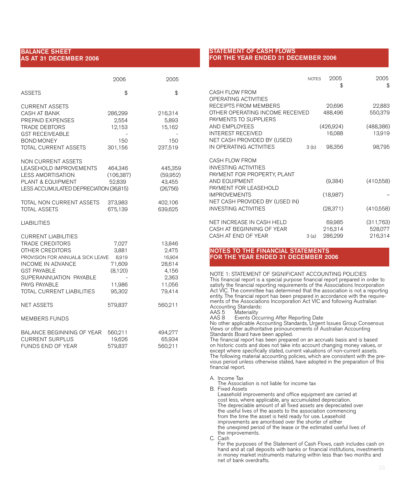#### BALANCE SHEET AS AT 31 DECEMBER 2006

|                                                                                                                                                                                                                               | 2006                                                             | 2005                                                                      |
|-------------------------------------------------------------------------------------------------------------------------------------------------------------------------------------------------------------------------------|------------------------------------------------------------------|---------------------------------------------------------------------------|
| <b>ASSETS</b>                                                                                                                                                                                                                 | \$                                                               | \$                                                                        |
| <b>CURRENT ASSETS</b><br><b>CASH AT BANK</b><br>PREPAID EXPENSES<br><b>TRADE DEBTORS</b><br><b>GST RECEIVEABLE</b><br><b>BOND MONEY</b><br>TOTAL CURRENT ASSETS                                                               | 286,299<br>2,554<br>12,153<br>150<br>301,156                     | 216,314<br>5,893<br>15,162<br>150<br>237,519                              |
| <b>NON CURRENT ASSETS</b><br>LEASEHOLD IMPROVEMENTS<br><b>LESS AMORTISATION</b><br>PLANT & EQUIPMENT<br>LESS ACCUMULATED DEPRECIATION (36,815)                                                                                | 464,346<br>(106, 387)<br>52,839                                  | 445,359<br>(59,952)<br>43,455<br>(26,756)                                 |
| TOTAL NON CURRENT ASSETS<br><b>TOTAL ASSETS</b>                                                                                                                                                                               | 373,983<br>675,139                                               | 402,106<br>639,625                                                        |
| <b>LIABILITIES</b>                                                                                                                                                                                                            |                                                                  |                                                                           |
| <b>CURRENT LIABILITIES</b><br><b>TRADE CREDITORS</b><br>OTHER CREDITORS<br>PROVISION FOR ANNUAL& SICK LEAVE<br>INCOME IN ADVANCE<br><b>GST PAYABLE</b><br>SUPERANNUATION PAYABLE<br>PAYG PAYABLE<br>TOTAL CURRENT LIABILITIES | 7,027<br>3,881<br>8,919<br>71,609<br>(8,120)<br>11,986<br>95,302 | 13,846<br>2,475<br>16,904<br>28,614<br>4,156<br>2,363<br>11,056<br>79,414 |
| <b>NET ASSETS</b>                                                                                                                                                                                                             | 579,837                                                          | 560,211                                                                   |
| <b>MEMBERS FUNDS</b>                                                                                                                                                                                                          |                                                                  |                                                                           |
| BALANCE BEGINNING OF YEAR<br><b>CURRENT SURPLUS</b><br>FUNDS END OF YEAR                                                                                                                                                      | 560,211<br>19,626<br>579,837                                     | 494,277<br>65,934<br>560,211                                              |

#### STATEMENT OF CASH FLOWS FOR THE YEAR ENDED 31 DECEMBER 2006

|                                                                               | <b>NOTES</b> | 2005<br>\$                   | 2005<br>\$                      |
|-------------------------------------------------------------------------------|--------------|------------------------------|---------------------------------|
| CASH FLOW FROM<br>OPERATING ACTIVITIES                                        |              |                              |                                 |
| RECEIPTS FROM MEMBERS                                                         |              | 20,696                       | 22,883                          |
| OTHER OPERATING INCOME RECEIVED<br>PAYMENTS TO SUPPLIERS                      |              | 488,496                      | 550,379                         |
| AND EMPLOYEES                                                                 |              | (426,924)                    | (488, 386)                      |
| <b>INTEREST RECEIVED</b>                                                      |              | 16,088                       | 13,919                          |
| NET CASH PROVIDED BY (USED)<br>IN OPERATING ACTIVITIES                        | 3(b)         | 98,356                       | 98,795                          |
| CASH FLOW FROM<br><b>INVESTING ACTIVITIES</b>                                 |              |                              |                                 |
| PAYMENT FOR PROPERTY, PLANT<br>AND EQUIPMENT<br>PAYMENT FOR LEASEHOLD         |              | (9,384)                      | (410,558)                       |
| <b>IMPROVEMENTS</b>                                                           |              | (18,987)                     |                                 |
| NET CASH PROVIDED BY (USED IN)<br><b>INVESTING ACTIVITIES</b>                 |              | (28, 371)                    | (410,558)                       |
| NET INCREASE IN CASH HELD<br>CASH AT BEGINNING OF YEAR<br>CASH AT END OF YEAR | 3(a)         | 69,985<br>216,314<br>286,299 | (311,763)<br>528,077<br>216,314 |

#### NOTES TO THE FINANCIAL STATEMENTS FOR THE YEAR ENDED 31 DECEMBER 2006

NOTE 1: STATEMENT OF SIGNIFICANT ACCOUNTING POLICIES This financial report is a special purpose financial report prepared in order to satisfy the financial reporting requirements of the Associations Incorporation Act VIC. The committee has determined that the association is not a reporting entity. The financial report has been prepared in accordance with the requirements of the Associations Incorporation Act VIC and following Australian

Accounting Standards: AAS 5 Materiality

AAS 8 Events Occurring After Reporting Date

No other applicable Accounting Standards, Urgent Issues Group Consensus Views or other authoritative pronouncements of Australian Accounting Standards Board have been applied.

The financial report has been prepared on an accruals basis and is based on historic costs and does not take into account changing money values, or except where specifically stated, current valuations of non-current assets. The following material accounting policies, which are consistent with the previous period unless otherwise stated, have adopted in the preparation of this financial report.

A. Income Tax

The Association is not liable for income tax

B. Fixed Assets

Leasehold improvements and office equipment are carried at cost less, where applicable, any accumulated depreciation. The depreciable amount of all fixed assets are depreciated over the useful lives of the assets to the association commencing from the time the asset is held ready for use. Leasehold improvements are amoritised over the shorter of either the unexpired period of the lease or the estimated useful lives of the improvements.

C. Cash

For the purposes of the Statement of Cash Flows, cash includes cash on hand and at call deposits with banks or financial institutions, investments in money market instruments maturing within less than two months and net of bank overdrafts.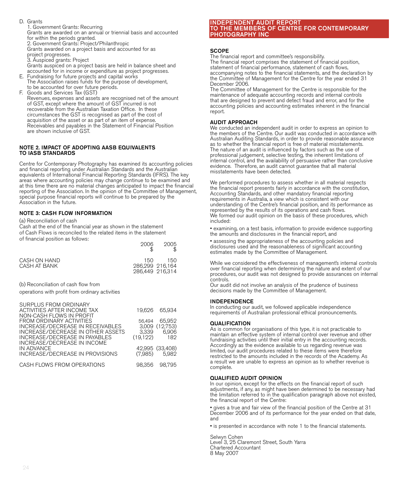- D. Grants 1. Government Grants: Recurring Grants are awarded on an annual or triennial basis and accounted for within the periods granted. 2. Government Grants: Project/Philanthropic Grants awarded on a project basis and accounted for as project progresses. 3. Auspiced grants: Project Grants auspiced on a project basis are held in balance sheet and accounted for in income or expenditure as project progresses. E. Fundraising for future projects and capital works
- The Association raises funds for the purpose of development, to be accounted for over future periods.
- F. Goods and Services Tax (GST) Revenues, expenses and assets are recognised net of the amount of GST, except where the amount of GST incurred is not recoverable from the Australian Taxation Office. In these circumstances the GST is recognised as part of the cost of acquisition of the asset or as part of an item of expense. Receivables and payables in the Statement of Financial Position are shown inclusive of GST.

#### NOTE 2. IMPACT OF ADOPTING AASB EQUIVALENTS TO IASB STANDARDS

Centre for Contemporary Photography has examined its accounting policies and financial reporting under Australian Standards and the Australian equivalents of International Financial Reporting Standards (IFRS). The key areas where accounting policies may change continue to be examined and at this time there are no material changes anticipated to impact the financial reporting of the Association. In the opinion of the Committee of Management, special purpose financial reports will continue to be prepared by the Association in the future.

### NOTE 3: CASH FLOW INFORMATION

(a) Reconciliation of cash

Cash at the end of the financial year as shown in the statement of Cash Flows is reconciled to the related items in the statement of financial position as follows:

|                              | 2006                                      | 2005 |
|------------------------------|-------------------------------------------|------|
| CASH ON HAND<br>CASH AT BANK | 150<br>286.299 216.164<br>286.449 216.314 | 150  |

(b) Reconciliation of cash flow from

operations with profit from ordinary activities

| SURPLUS FROM ORDINARY             |          |                 |
|-----------------------------------|----------|-----------------|
| ACTIVITIES AFTER INCOME TAX       | 19.626   | 65.934          |
| NON-CASH FLOWS IN PROFIT          |          |                 |
| FROM ORDINARY ACTIVITIES          | 56.494   | 65.952          |
| INCREASE/DECREASE IN RECEIVABLES  |          | 3.009 (12.753)  |
| INCREASE/DECREASE IN OTHER ASSETS | 3,339    | 6,906           |
| INCREASE/DECREASE IN PAYABLES     | (19.122) | 182             |
| INCREASE/DECREASE IN INCOME       |          |                 |
| IN ADVANCE                        |          | 42,995 (33,408) |
| INCREASE/DECREASE IN PROVISIONS   |          | $(7.985)$ 5.982 |
|                                   |          |                 |
| CASH FLOWS FROM OPERATIONS        | 98.356   | 98.795          |
|                                   |          |                 |

#### INDEPENDENT AUDIT REPORT TO THE MEMBERS OF CENTRE FOR CONTEMPORARY PHOTOGRAPHY INC

#### **SCOPE**

The financial report and committee's responsibility.

The financial report comprises the statement of financial position, statement of financial performance, statement of cash flows, accompanying notes to the financial statements, and the declaration by the Committee of Management for the Centre for the year ended 31 December 2006.

The Committee of Management for the Centre is responsible for the maintenance of adequate accounting records and internal controls that are designed to prevent and detect fraud and error, and for the accounting policies and accounting estimates inherent in the financial report.

#### AUDIT APPROACH

We conducted an independent audit in order to express an opinion to the members of the Centre. Our audit was conducted in accordance with Australian Auditing Standards, in order to provide reasonable assurance as to whether the financial report is free of material misstatements. The nature of an audit is influenced by factors such as the use of professional judgement, selective testing, the inherent limitations of internal control, and the availability of persuasive rather than conclusive evidence. Therefore, an audit cannot guarantee that all material misstatements have been detected.

We performed procedures to assess whether in all material respects the financial report presents fairly in accordance with the constitution, Accounting Standards, and other mandatory financial reporting requirements in Australia, a view which is consistent with our understanding of the Centre's financial position, and its performance as represented by the results of its operations and cash flows. We formed our audit opinion on the basis of these procedures, which included:

• examining, on a test basis, information to provide evidence supporting the amounts and disclosures in the financial report, and

• assessing the appropriateness of the accounting policies and disclosures used and the reasonableness of significant accounting estimates made by the Committee of Management.

While we considered the effectiveness of management's internal controls over financial reporting when determining the nature and extent of our procedures, our audit was not designed to provide assurances on internal controls.

Our audit did not involve an analysis of the prudence of business decisions made by the Committee of Management.

#### INDEPENDENCE

In conducting our audit, we followed applicable independence requirements of Australian professional ethical pronouncements.

#### **QUALIFICATION**

As is common for organisations of this type, it is not practicable to maintain an effective system of internal control over revenue and other fundraising activities until their initial entry in the accounting records. Accordingly as the evidence available to us regarding revenue was limited, our audit procedures related to these items were therefore restricted to the amounts included in the records of the Academy. As a result we are unable to express an opinion as to whether revenue is complete.

#### QUALIFIED AUDIT OPINION

In our opinion, except for the effects on the financial report of such adjustments, if any, as might have been determined to be necessary had the limitation referred to in the qualification paragraph above not existed, the financial report of the Centre:

• gives a true and fair view of the financial position of the Centre at 31 December 2006 and of its performance for the year ended on that date, and

• is presented in accordance with note 1 to the financial statements.

Selwyn Cohen Level 3, 25 Claremont Street, South Yarra Chartered Accountant 8 May 2007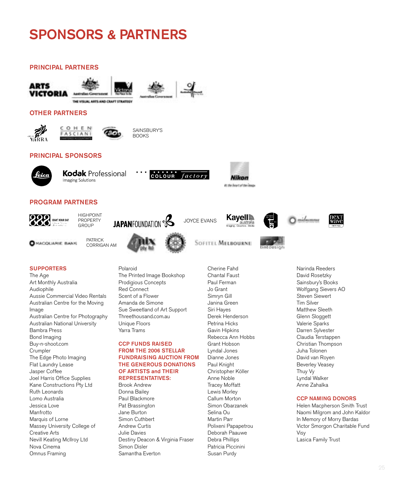# SPONSORS & PARTNERS

#### PRINCIPAL PARTNERS









factory

# OTHER PARTNERS





SAINSBURY'S BOOKS

### PRINCIPAL SPONSORS



**Kodak** Professional **Imaging Solutions** 



222 EGETHOUR DAY

HIGHPOINT PROPERTY GROUP



Polaroid



COLOUR



**Nikon** 

**AT the Asset of the Groot** 







**O** MACQUARIE BANK

**PATRICK** CORRIGAN AM



SOFITEL MELBOURNE

Cherine Fahd Chantal Faust





Narinda Reeders David Rosetzky Sainsbury's Books Wolfgang Sievers AO Steven Siewert Tim Silver Matthew Sleeth Glenn Sloggett Valerie Sparks Darren Sylvester Claudia Terstappen Christian Thompson Juha Tolonen David van Royen Beverley Veasey Thuy Vy Lyndal Walker Anne Zahalka

#### CCP NAMING DONORS

Helen Macpherson Smith Trust Naomi Milgrom and John Kaldor In Memory of Morry Bardas Victor Smorgon Charitable Fund Visy Lasica Family Trust

# **SUPPORTERS**

The Age Art Monthly Australia Audiophile Aussie Commercial Video Rentals Australian Centre for the Moving Image Australian Centre for Photography Australian National University Bambra Press Bond Imaging Buy-n-shoot.com **Crumpler** The Edge Photo Imaging Flat Laundry Lease Jasper Coffee Joel Harris Office Supplies Kane Constructions Pty Ltd Ruth Leonards Lomo Australia Jessica Love Manfrotto Marquis of Lorne Massey University College of Creative Arts Nevill Keating McIlroy Ltd Nova Cinema Omnus Framing

The Printed Image Bookshop Prodigious Concepts Red Connect Scent of a Flower Amanda de Simone Sue Sweetland of Art Support Threethousand.com.au Unique Floors Yarra Trams

#### CCP FUNDS RAISED FROM THE 2006 STELLAR FUNDRAISING AUCTION FROM THE GENEROUS DONATIONS OF ARTISTS and THEIR REPRESENTATIVES:

Brook Andrew Donna Bailey Paul Blackmore Pat Brassington Jane Burton Simon Cuthbert Andrew Curtis Julie Davies Destiny Deacon & Virginia Fraser Simon Disler Samantha Everton

Paul Ferman Jo Grant Simryn Gill Janina Green Siri Hayes Derek Henderson Petrina Hicks Gavin Hipkins Rebecca Ann Hobbs Grant Hobson Lyndal Jones Dianne Jones Paul Knight Christopher Köller Anne Noble Tracey Moffatt Lewis Morley Callum Morton Simon Obarzanek Selina Ou Martin Parr Polixeni Papapetrou Deborah Paauwe Debra Phillips Patricia Piccinini Susan Purdy